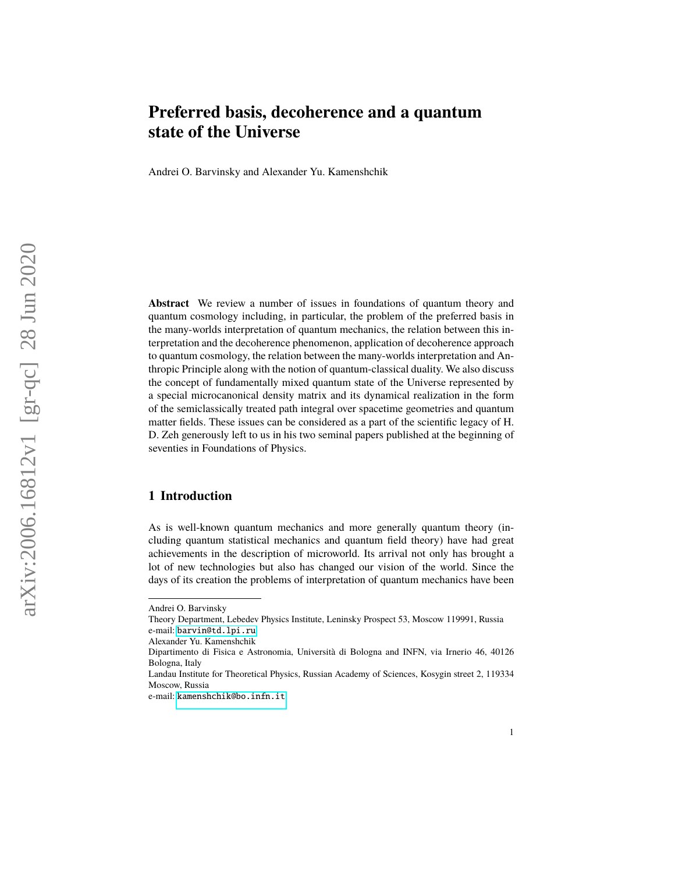# **Preferred basis, decoherence and a quantum state of the Universe**

Andrei O. Barvinsky and Alexander Yu. Kamenshchik

**Abstract** We review a number of issues in foundations of quantum theory and quantum cosmology including, in particular, the problem of the preferred basis in the many-worlds interpretation of quantum mechanics, the relation between this interpretation and the decoherence phenomenon, application of decoherence approach to quantum cosmology, the relation between the many-worlds interpretation and Anthropic Principle along with the notion of quantum-classical duality. We also discuss the concept of fundamentally mixed quantum state of the Universe represented by a special microcanonical density matrix and its dynamical realization in the form of the semiclassically treated path integral over spacetime geometries and quantum matter fields. These issues can be considered as a part of the scientific legacy of H. D. Zeh generously left to us in his two seminal papers published at the beginning of seventies in Foundations of Physics.

### **1 Introduction**

As is well-known quantum mechanics and more generally quantum theory (including quantum statistical mechanics and quantum field theory) have had great achievements in the description of microworld. Its arrival not only has brought a lot of new technologies but also has changed our vision of the world. Since the days of its creation the problems of interpretation of quantum mechanics have been

Andrei O. Barvinsky

Theory Department, Lebedev Physics Institute, Leninsky Prospect 53, Moscow 119991, Russia e-mail: <barvin@td.lpi.ru>

Alexander Yu. Kamenshchik

Dipartimento di Fisica e Astronomia, Università di Bologna and INFN, via Irnerio 46, 40126 Bologna, Italy

Landau Institute for Theoretical Physics, Russian Academy of Sciences, Kosygin street 2, 119334 Moscow, Russia

e-mail: <kamenshchik@bo.infn.it>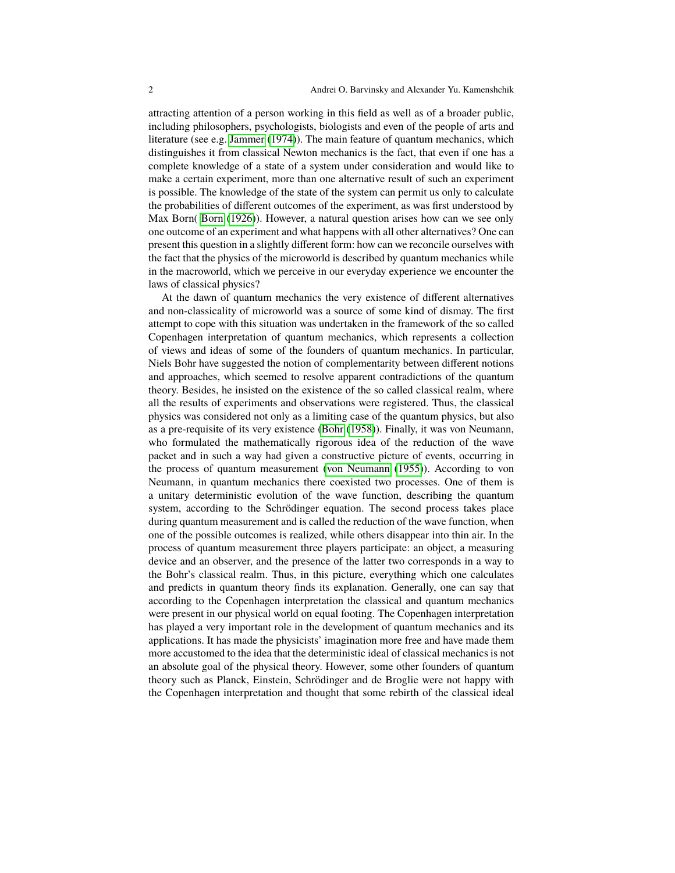attracting attention of a person working in this field as well as of a broader public, including philosophers, psychologists, biologists and even of the people of arts and literature (see e.g. [Jammer](#page-23-0) [\(1974\)](#page-23-0)). The main feature of quantum mechanics, which distinguishes it from classical Newton mechanics is the fact, that even if one has a complete knowledge of a state of a system under consideration and would like to make a certain experiment, more than one alternative result of such an experiment is possible. The knowledge of the state of the system can permit us only to calculate the probabilities of different outcomes of the experiment, as was first understood by Max Born( [Born](#page-22-0) [\(1926\)](#page-22-0)). However, a natural question arises how can we see only one outcome of an experiment and what happens with all other alternatives? One can present this question in a slightly different form: how can we reconcile ourselves with the fact that the physics of the microworld is described by quantum mechanics while in the macroworld, which we perceive in our everyday experience we encounter the laws of classical physics?

At the dawn of quantum mechanics the very existence of different alternatives and non-classicality of microworld was a source of some kind of dismay. The first attempt to cope with this situation was undertaken in the framework of the so called Copenhagen interpretation of quantum mechanics, which represents a collection of views and ideas of some of the founders of quantum mechanics. In particular, Niels Bohr have suggested the notion of complementarity between different notions and approaches, which seemed to resolve apparent contradictions of the quantum theory. Besides, he insisted on the existence of the so called classical realm, where all the results of experiments and observations were registered. Thus, the classical physics was considered not only as a limiting case of the quantum physics, but also as a pre-requisite of its very existence [\(Bohr](#page-22-1) [\(1958\)](#page-22-1)). Finally, it was von Neumann, who formulated the mathematically rigorous idea of the reduction of the wave packet and in such a way had given a constructive picture of events, occurring in the process of quantum measurement [\(von Neumann](#page-24-0) [\(1955\)](#page-24-0)). According to von Neumann, in quantum mechanics there coexisted two processes. One of them is a unitary deterministic evolution of the wave function, describing the quantum system, according to the Schrödinger equation. The second process takes place during quantum measurement and is called the reduction of the wave function, when one of the possible outcomes is realized, while others disappear into thin air. In the process of quantum measurement three players participate: an object, a measuring device and an observer, and the presence of the latter two corresponds in a way to the Bohr's classical realm. Thus, in this picture, everything which one calculates and predicts in quantum theory finds its explanation. Generally, one can say that according to the Copenhagen interpretation the classical and quantum mechanics were present in our physical world on equal footing. The Copenhagen interpretation has played a very important role in the development of quantum mechanics and its applications. It has made the physicists' imagination more free and have made them more accustomed to the idea that the deterministic ideal of classical mechanics is not an absolute goal of the physical theory. However, some other founders of quantum theory such as Planck, Einstein, Schrödinger and de Broglie were not happy with the Copenhagen interpretation and thought that some rebirth of the classical ideal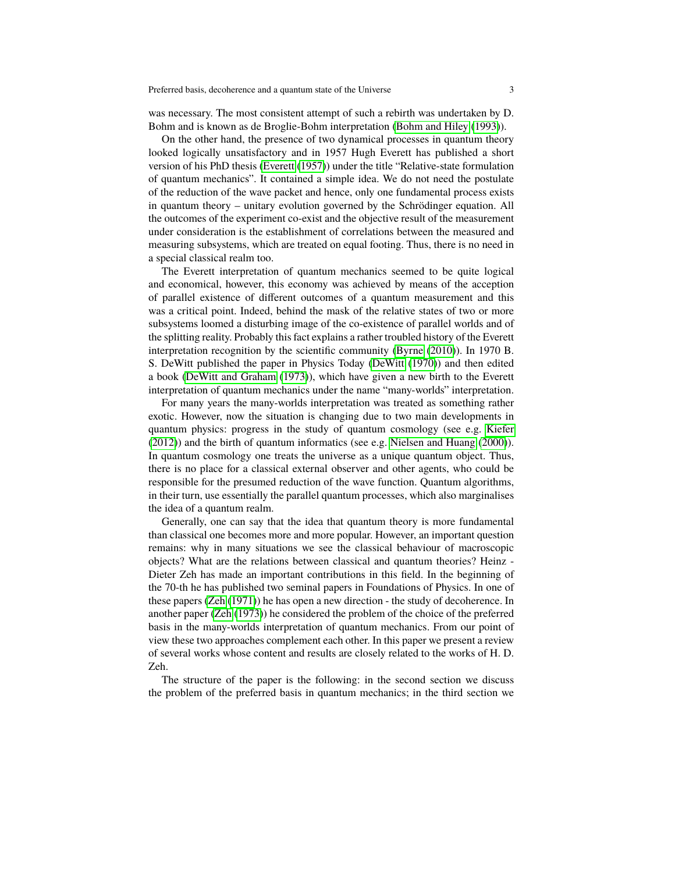was necessary. The most consistent attempt of such a rebirth was undertaken by D. Bohm and is known as de Broglie-Bohm interpretation [\(Bohm and Hiley](#page-22-2) [\(1993\)](#page-22-2)).

On the other hand, the presence of two dynamical processes in quantum theory looked logically unsatisfactory and in 1957 Hugh Everett has published a short version of his PhD thesis [\(Everett](#page-22-3) [\(1957\)](#page-22-3)) under the title "Relative-state formulation of quantum mechanics". It contained a simple idea. We do not need the postulate of the reduction of the wave packet and hence, only one fundamental process exists in quantum theory – unitary evolution governed by the Schrödinger equation. All the outcomes of the experiment co-exist and the objective result of the measurement under consideration is the establishment of correlations between the measured and measuring subsystems, which are treated on equal footing. Thus, there is no need in a special classical realm too.

The Everett interpretation of quantum mechanics seemed to be quite logical and economical, however, this economy was achieved by means of the acception of parallel existence of different outcomes of a quantum measurement and this was a critical point. Indeed, behind the mask of the relative states of two or more subsystems loomed a disturbing image of the co-existence of parallel worlds and of the splitting reality. Probably this fact explains a rather troubled history of the Everett interpretation recognition by the scientific community [\(Byrne](#page-22-4) [\(2010\)](#page-22-4)). In 1970 B. S. DeWitt published the paper in Physics Today [\(DeWitt](#page-22-5) [\(1970\)](#page-22-5)) and then edited a book [\(DeWitt and Graham](#page-22-6) [\(1973\)](#page-22-6)), which have given a new birth to the Everett interpretation of quantum mechanics under the name "many-worlds" interpretation.

For many years the many-worlds interpretation was treated as something rather exotic. However, now the situation is changing due to two main developments in quantum physics: progress in the study of quantum cosmology (see e.g. [Kiefer](#page-23-1) [\(2012\)](#page-23-1)) and the birth of quantum informatics (see e.g. [Nielsen and Huang](#page-23-2) [\(2000\)](#page-23-2)). In quantum cosmology one treats the universe as a unique quantum object. Thus, there is no place for a classical external observer and other agents, who could be responsible for the presumed reduction of the wave function. Quantum algorithms, in their turn, use essentially the parallel quantum processes, which also marginalises the idea of a quantum realm.

Generally, one can say that the idea that quantum theory is more fundamental than classical one becomes more and more popular. However, an important question remains: why in many situations we see the classical behaviour of macroscopic objects? What are the relations between classical and quantum theories? Heinz - Dieter Zeh has made an important contributions in this field. In the beginning of the 70-th he has published two seminal papers in Foundations of Physics. In one of these papers [\(Zeh](#page-24-1) [\(1971\)](#page-24-1)) he has open a new direction - the study of decoherence. In another paper [\(Zeh](#page-24-2) [\(1973\)](#page-24-2)) he considered the problem of the choice of the preferred basis in the many-worlds interpretation of quantum mechanics. From our point of view these two approaches complement each other. In this paper we present a review of several works whose content and results are closely related to the works of H. D. Zeh.

The structure of the paper is the following: in the second section we discuss the problem of the preferred basis in quantum mechanics; in the third section we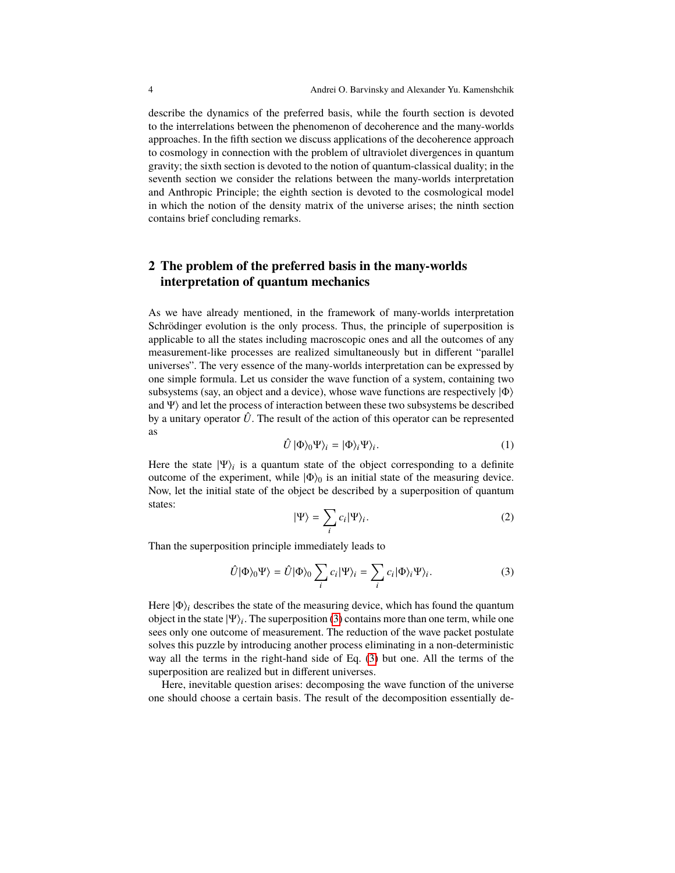describe the dynamics of the preferred basis, while the fourth section is devoted to the interrelations between the phenomenon of decoherence and the many-worlds approaches. In the fifth section we discuss applications of the decoherence approach to cosmology in connection with the problem of ultraviolet divergences in quantum gravity; the sixth section is devoted to the notion of quantum-classical duality; in the seventh section we consider the relations between the many-worlds interpretation and Anthropic Principle; the eighth section is devoted to the cosmological model in which the notion of the density matrix of the universe arises; the ninth section contains brief concluding remarks.

# **2 The problem of the preferred basis in the many-worlds interpretation of quantum mechanics**

As we have already mentioned, in the framework of many-worlds interpretation Schrödinger evolution is the only process. Thus, the principle of superposition is applicable to all the states including macroscopic ones and all the outcomes of any measurement-like processes are realized simultaneously but in different "parallel universes". The very essence of the many-worlds interpretation can be expressed by one simple formula. Let us consider the wave function of a system, containing two subsystems (say, an object and a device), whose wave functions are respectively  $|\Phi\rangle$ and  $\Psi$ ) and let the process of interaction between these two subsystems be described by a unitary operator  $\hat{U}$ . The result of the action of this operator can be represented as

$$
\hat{U} | \Phi \rangle_0 \Psi \rangle_i = | \Phi \rangle_i \Psi \rangle_i. \tag{1}
$$

Here the state  $|\Psi\rangle_i$  is a quantum state of the object corresponding to a definite outcome of the experiment, while  $|\Phi\rangle_0$  is an initial state of the measuring device. Now, let the initial state of the object be described by a superposition of quantum states:

$$
|\Psi\rangle = \sum_{i} c_i |\Psi\rangle_i.
$$
 (2)

Than the superposition principle immediately leads to

<span id="page-3-0"></span>
$$
\hat{U}|\Phi\rangle_0\Psi\rangle = \hat{U}|\Phi\rangle_0 \sum_i c_i|\Psi\rangle_i = \sum_i c_i|\Phi\rangle_i\Psi\rangle_i.
$$
 (3)

Here  $|\Phi\rangle$ <sub>i</sub> describes the state of the measuring device, which has found the quantum object in the state  $|\Psi\rangle_i$ . The superposition [\(3\)](#page-3-0) contains more than one term, while one sees only one outcome of measurement. The reduction of the wave packet postulate solves this puzzle by introducing another process eliminating in a non-deterministic way all the terms in the right-hand side of Eq. [\(3\)](#page-3-0) but one. All the terms of the superposition are realized but in different universes.

Here, inevitable question arises: decomposing the wave function of the universe one should choose a certain basis. The result of the decomposition essentially de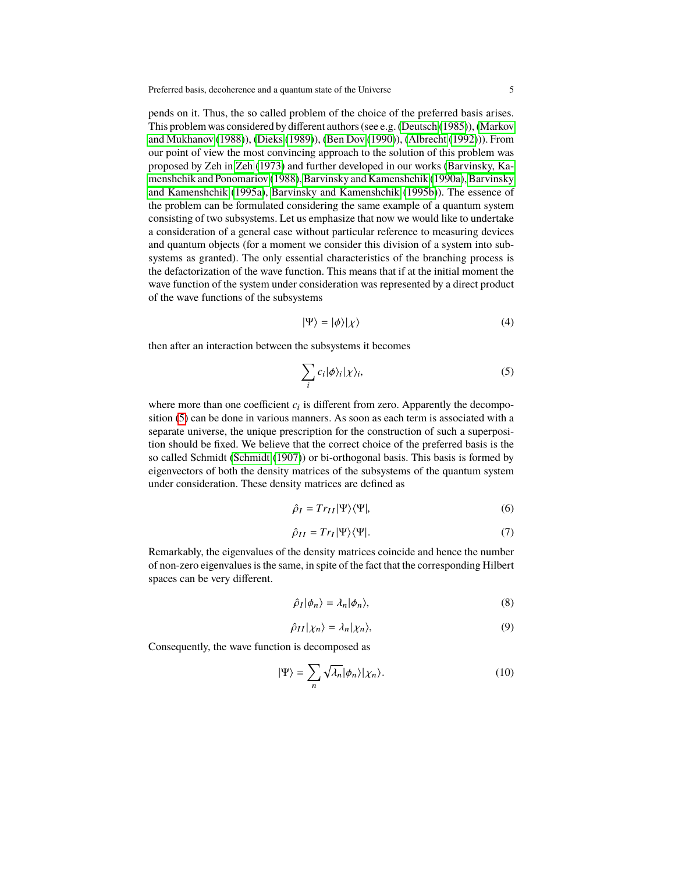pends on it. Thus, the so called problem of the choice of the preferred basis arises. This problem was considered by different authors (see e.g. [\(Deutsch](#page-22-7) [\(1985\)](#page-22-7)), [\(Markov](#page-23-3) [and Mukhanov](#page-23-3) [\(1988\)](#page-23-3)), [\(Dieks](#page-22-8) [\(1989\)](#page-22-8)), [\(Ben Dov](#page-22-9) [\(1990\)](#page-22-9)), [\(Albrecht](#page-21-0) [\(1992\)](#page-21-0))). From our point of view the most convincing approach to the solution of this problem was proposed by Zeh in [Zeh](#page-24-2) [\(1973\)](#page-24-2) and further developed in our works [\(Barvinsky, Ka](#page-21-1)[menshchik and Ponomariov](#page-21-1) [\(1988\)](#page-21-1), [Barvinsky and Kamenshchik](#page-21-2) [\(1990a\)](#page-21-2), [Barvinsky](#page-21-3) [and Kamenshchik](#page-21-3) [\(1995a\)](#page-21-3), [Barvinsky and Kamenshchik](#page-21-4) [\(1995b\)](#page-21-4)). The essence of the problem can be formulated considering the same example of a quantum system consisting of two subsystems. Let us emphasize that now we would like to undertake a consideration of a general case without particular reference to measuring devices and quantum objects (for a moment we consider this division of a system into subsystems as granted). The only essential characteristics of the branching process is the defactorization of the wave function. This means that if at the initial moment the wave function of the system under consideration was represented by a direct product of the wave functions of the subsystems

$$
|\Psi\rangle = |\phi\rangle|\chi\rangle \tag{4}
$$

then after an interaction between the subsystems it becomes

<span id="page-4-0"></span>
$$
\sum_{i} c_{i} |\phi\rangle_{i} |\chi\rangle_{i}, \tag{5}
$$

where more than one coefficient  $c_i$  is different from zero. Apparently the decomposition [\(5\)](#page-4-0) can be done in various manners. As soon as each term is associated with a separate universe, the unique prescription for the construction of such a superposition should be fixed. We believe that the correct choice of the preferred basis is the so called Schmidt [\(Schmidt](#page-24-3) [\(1907\)](#page-24-3)) or bi-orthogonal basis. This basis is formed by eigenvectors of both the density matrices of the subsystems of the quantum system under consideration. These density matrices are defined as

$$
\hat{\rho}_I = Tr_{II} |\Psi\rangle\langle\Psi|,\tag{6}
$$

$$
\hat{\rho}_{II} = Tr_I |\Psi\rangle\langle\Psi|.\tag{7}
$$

Remarkably, the eigenvalues of the density matrices coincide and hence the number of non-zero eigenvalues is the same, in spite of the fact that the corresponding Hilbert spaces can be very different.

$$
\hat{\rho}_I|\phi_n\rangle = \lambda_n|\phi_n\rangle,\tag{8}
$$

$$
\hat{\rho}_{II}|\chi_n\rangle = \lambda_n|\chi_n\rangle,\tag{9}
$$

Consequently, the wave function is decomposed as

$$
|\Psi\rangle = \sum_{n} \sqrt{\lambda_n} |\phi_n\rangle |\chi_n\rangle.
$$
 (10)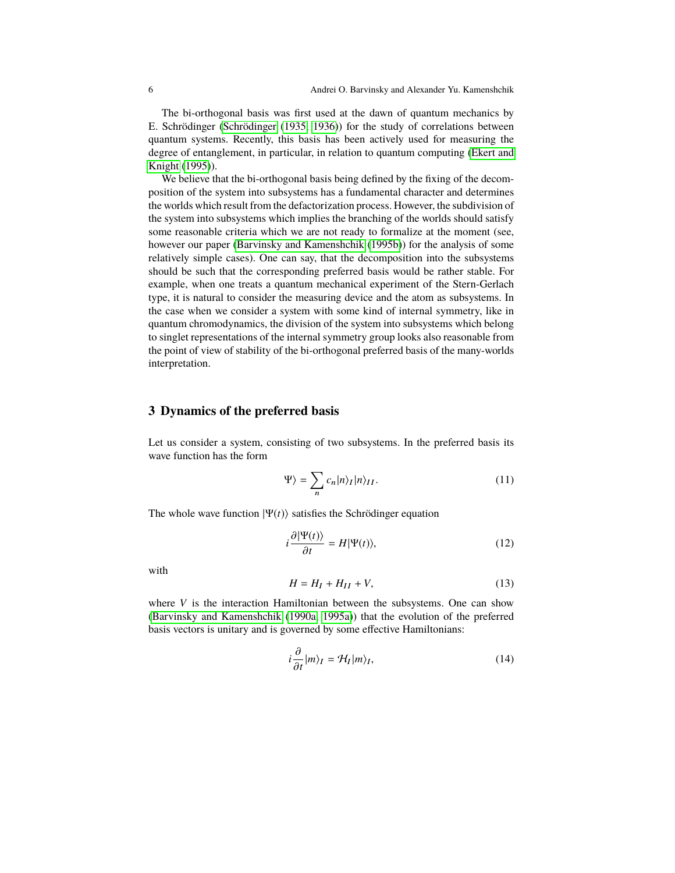The bi-orthogonal basis was first used at the dawn of quantum mechanics by E. Schrödinger [\(Schrödinger](#page-24-4) [\(1935,](#page-24-4) [1936\)](#page-24-5)) for the study of correlations between quantum systems. Recently, this basis has been actively used for measuring the degree of entanglement, in particular, in relation to quantum computing [\(Ekert and](#page-22-10) [Knight](#page-22-10) [\(1995\)](#page-22-10)).

We believe that the bi-orthogonal basis being defined by the fixing of the decomposition of the system into subsystems has a fundamental character and determines the worlds which result from the defactorization process. However, the subdivision of the system into subsystems which implies the branching of the worlds should satisfy some reasonable criteria which we are not ready to formalize at the moment (see, however our paper [\(Barvinsky and Kamenshchik](#page-21-4) [\(1995b\)](#page-21-4)) for the analysis of some relatively simple cases). One can say, that the decomposition into the subsystems should be such that the corresponding preferred basis would be rather stable. For example, when one treats a quantum mechanical experiment of the Stern-Gerlach type, it is natural to consider the measuring device and the atom as subsystems. In the case when we consider a system with some kind of internal symmetry, like in quantum chromodynamics, the division of the system into subsystems which belong to singlet representations of the internal symmetry group looks also reasonable from the point of view of stability of the bi-orthogonal preferred basis of the many-worlds interpretation.

#### **3 Dynamics of the preferred basis**

Let us consider a system, consisting of two subsystems. In the preferred basis its wave function has the form

$$
\Psi\rangle = \sum_{n} c_n |n\rangle_I |n\rangle_{II}.\tag{11}
$$

The whole wave function  $|\Psi(t)\rangle$  satisfies the Schrödinger equation

$$
i\frac{\partial|\Psi(t)\rangle}{\partial t} = H|\Psi(t)\rangle,\tag{12}
$$

with

$$
H = H_I + H_{II} + V,\tag{13}
$$

where *V* is the interaction Hamiltonian between the subsystems. One can show [\(Barvinsky and Kamenshchik](#page-21-2) [\(1990a,](#page-21-2) [1995a\)](#page-21-3)) that the evolution of the preferred basis vectors is unitary and is governed by some effective Hamiltonians:

$$
i\frac{\partial}{\partial t}|m\rangle_I = \mathcal{H}_I|m\rangle_I,
$$
\n(14)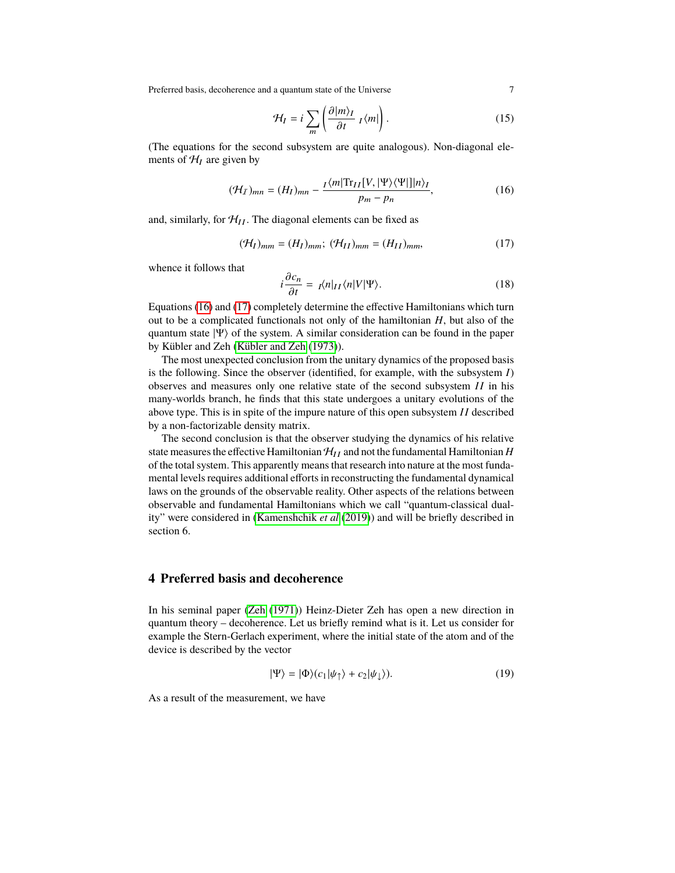Preferred basis, decoherence and a quantum state of the Universe 7

$$
\mathcal{H}_I = i \sum_m \left( \frac{\partial |m\rangle_I}{\partial t} \, I \langle m| \right). \tag{15}
$$

(The equations for the second subsystem are quite analogous). Non-diagonal elements of  $\mathcal{H}_I$  are given by

<span id="page-6-0"></span>
$$
(\mathcal{H}_I)_{mn} = (H_I)_{mn} - \frac{I \langle m | \text{Tr}_{II}[V, |\Psi \rangle \langle \Psi | ] | n \rangle_I}{p_m - p_n},
$$
\n(16)

and, similarly, for  $\mathcal{H}_{II}$ . The diagonal elements can be fixed as

<span id="page-6-1"></span>
$$
(\mathcal{H}_I)_{mm} = (H_I)_{mm}; \ (\mathcal{H}_{II})_{mm} = (H_{II})_{mm}, \tag{17}
$$

whence it follows that

$$
i\frac{\partial c_n}{\partial t} = I\langle n|_{II}\langle n|V|\Psi\rangle.
$$
 (18)

 $\frac{\partial t}{\partial t}$   $\frac{1}{(1,0)[1,1]}$  completely determine the effective Hamiltonians which turn out to be a complicated functionals not only of the hamiltonian *H*, but also of the quantum state  $|\Psi\rangle$  of the system. A similar consideration can be found in the paper by Kübler and Zeh [\(Kübler and Zeh](#page-23-4) [\(1973\)](#page-23-4)).

The most unexpected conclusion from the unitary dynamics of the proposed basis is the following. Since the observer (identified, for example, with the subsystem *I*) observes and measures only one relative state of the second subsystem *II* in his many-worlds branch, he finds that this state undergoes a unitary evolutions of the above type. This is in spite of the impure nature of this open subsystem *II* described by a non-factorizable density matrix.

The second conclusion is that the observer studying the dynamics of his relative state measures the effective Hamiltonian  $\mathcal{H}_{II}$  and not the fundamental Hamiltonian *H* of the total system. This apparently means that research into nature at the most fundamental levels requires additional efforts in reconstructing the fundamental dynamical laws on the grounds of the observable reality. Other aspects of the relations between observable and fundamental Hamiltonians which we call "quantum-classical duality" were considered in [\(Kamenshchik](#page-23-5) *et al* [\(2019\)](#page-23-5)) and will be briefly described in section 6.

#### **4 Preferred basis and decoherence**

In his seminal paper [\(Zeh](#page-24-1) [\(1971\)](#page-24-1)) Heinz-Dieter Zeh has open a new direction in quantum theory – decoherence. Let us briefly remind what is it. Let us consider for example the Stern-Gerlach experiment, where the initial state of the atom and of the device is described by the vector

$$
|\Psi\rangle = |\Phi\rangle (c_1|\psi_{\uparrow}\rangle + c_2|\psi_{\downarrow}\rangle). \tag{19}
$$

As a result of the measurement, we have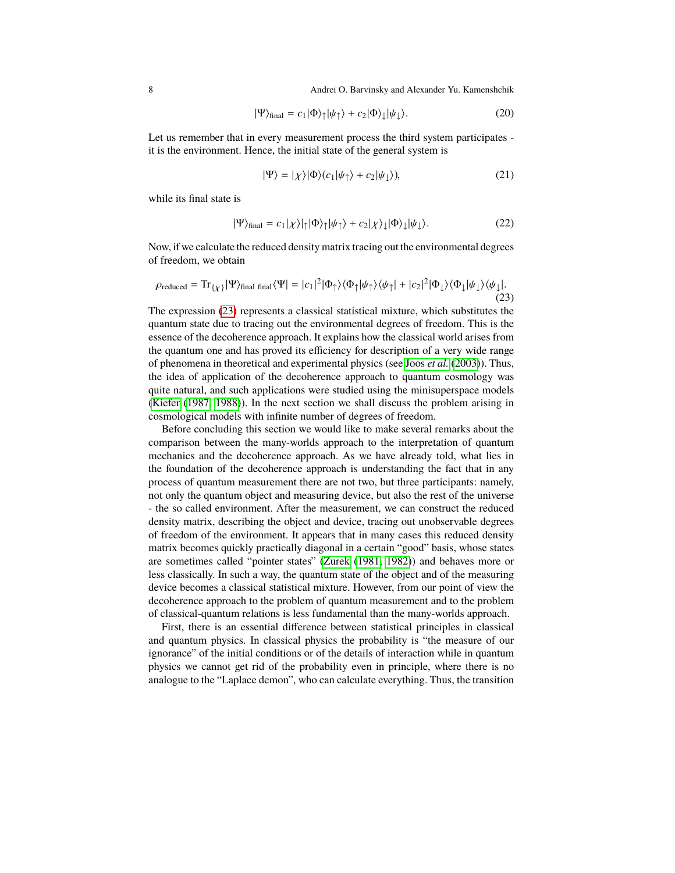8 Andrei O. Barvinsky and Alexander Yu. Kamenshchik

$$
|\Psi\rangle_{\text{final}} = c_1 |\Phi\rangle_{\uparrow} |\psi_{\uparrow}\rangle + c_2 |\Phi\rangle_{\downarrow} |\psi_{\downarrow}\rangle. \tag{20}
$$

Let us remember that in every measurement process the third system participates it is the environment. Hence, the initial state of the general system is

$$
|\Psi\rangle = |\chi\rangle|\Phi\rangle(c_1|\psi_\uparrow\rangle + c_2|\psi_\downarrow\rangle),\tag{21}
$$

while its final state is

$$
|\Psi\rangle_{\text{final}} = c_1|\chi\rangle|\eta|\Phi\rangle|\psi|\rangle + c_2|\chi\rangle|\phi\rangle|\psi|\rangle. \tag{22}
$$

Now, if we calculate the reduced density matrix tracing out the environmental degrees of freedom, we obtain

<span id="page-7-0"></span>
$$
\rho_{reduced} = \text{Tr}_{\{\chi\}} |\Psi\rangle_{\text{final final}} \langle \Psi| = |c_1|^2 |\Phi_{\uparrow}\rangle \langle \Phi_{\uparrow} |\psi_{\uparrow}\rangle \langle \psi_{\uparrow}| + |c_2|^2 |\Phi_{\downarrow}\rangle \langle \Phi_{\downarrow} |\psi_{\downarrow}\rangle \langle \psi_{\downarrow}|.
$$
\n(23)

The expression [\(23\)](#page-7-0) represents a classical statistical mixture, which substitutes the quantum state due to tracing out the environmental degrees of freedom. This is the essence of the decoherence approach. It explains how the classical world arises from the quantum one and has proved its efficiency for description of a very wide range of phenomena in theoretical and experimental physics (see Joos *[et al.](#page-23-6)* [\(2003\)](#page-23-6)). Thus, the idea of application of the decoherence approach to quantum cosmology was quite natural, and such applications were studied using the minisuperspace models [\(Kiefer](#page-23-7) [\(1987,](#page-23-7) [1988\)](#page-23-8)). In the next section we shall discuss the problem arising in cosmological models with infinite number of degrees of freedom.

Before concluding this section we would like to make several remarks about the comparison between the many-worlds approach to the interpretation of quantum mechanics and the decoherence approach. As we have already told, what lies in the foundation of the decoherence approach is understanding the fact that in any process of quantum measurement there are not two, but three participants: namely, not only the quantum object and measuring device, but also the rest of the universe - the so called environment. After the measurement, we can construct the reduced density matrix, describing the object and device, tracing out unobservable degrees of freedom of the environment. It appears that in many cases this reduced density matrix becomes quickly practically diagonal in a certain "good" basis, whose states are sometimes called "pointer states" [\(Zurek](#page-24-6) [\(1981,](#page-24-6) [1982\)](#page-24-7)) and behaves more or less classically. In such a way, the quantum state of the object and of the measuring device becomes a classical statistical mixture. However, from our point of view the decoherence approach to the problem of quantum measurement and to the problem of classical-quantum relations is less fundamental than the many-worlds approach.

First, there is an essential difference between statistical principles in classical and quantum physics. In classical physics the probability is "the measure of our ignorance" of the initial conditions or of the details of interaction while in quantum physics we cannot get rid of the probability even in principle, where there is no analogue to the "Laplace demon", who can calculate everything. Thus, the transition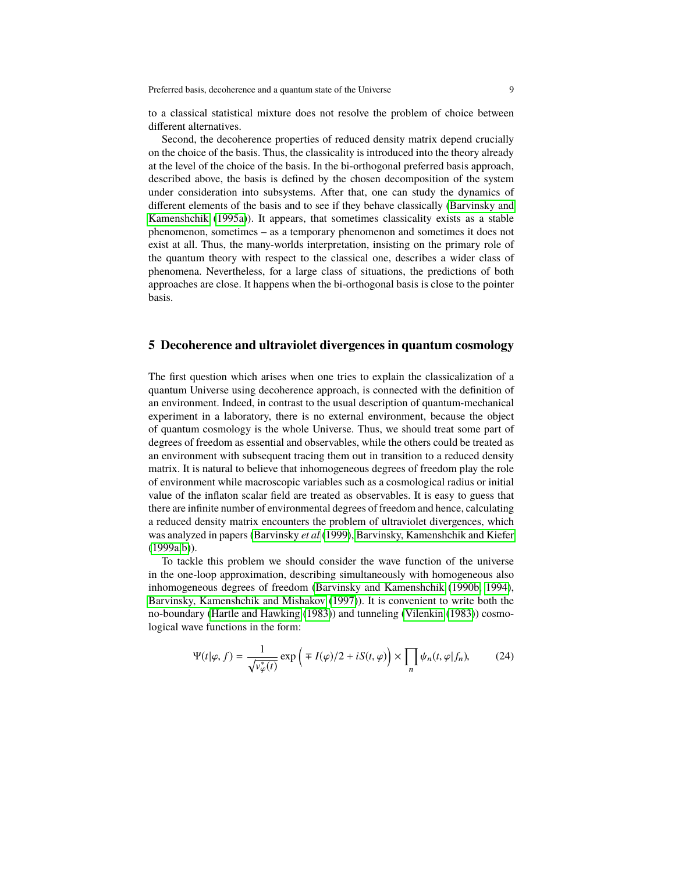to a classical statistical mixture does not resolve the problem of choice between different alternatives.

Second, the decoherence properties of reduced density matrix depend crucially on the choice of the basis. Thus, the classicality is introduced into the theory already at the level of the choice of the basis. In the bi-orthogonal preferred basis approach, described above, the basis is defined by the chosen decomposition of the system under consideration into subsystems. After that, one can study the dynamics of different elements of the basis and to see if they behave classically [\(Barvinsky and](#page-21-3) [Kamenshchik](#page-21-3) [\(1995a\)](#page-21-3)). It appears, that sometimes classicality exists as a stable phenomenon, sometimes – as a temporary phenomenon and sometimes it does not exist at all. Thus, the many-worlds interpretation, insisting on the primary role of the quantum theory with respect to the classical one, describes a wider class of phenomena. Nevertheless, for a large class of situations, the predictions of both approaches are close. It happens when the bi-orthogonal basis is close to the pointer basis.

#### **5 Decoherence and ultraviolet divergences in quantum cosmology**

The first question which arises when one tries to explain the classicalization of a quantum Universe using decoherence approach, is connected with the definition of an environment. Indeed, in contrast to the usual description of quantum-mechanical experiment in a laboratory, there is no external environment, because the object of quantum cosmology is the whole Universe. Thus, we should treat some part of degrees of freedom as essential and observables, while the others could be treated as an environment with subsequent tracing them out in transition to a reduced density matrix. It is natural to believe that inhomogeneous degrees of freedom play the role of environment while macroscopic variables such as a cosmological radius or initial value of the inflaton scalar field are treated as observables. It is easy to guess that there are infinite number of environmental degrees of freedom and hence, calculating a reduced density matrix encounters the problem of ultraviolet divergences, which was analyzed in papers [\(Barvinsky](#page-21-5) *et al* [\(1999\)](#page-21-5), [Barvinsky, Kamenshchik and Kiefer](#page-21-6)  $(1999a,b)$  $(1999a,b)$ ).

To tackle this problem we should consider the wave function of the universe in the one-loop approximation, describing simultaneously with homogeneous also inhomogeneous degrees of freedom [\(Barvinsky and Kamenshchik](#page-21-8) [\(1990b,](#page-21-8) [1994\)](#page-21-9), [Barvinsky, Kamenshchik and Mishakov](#page-21-10) [\(1997\)](#page-21-10)). It is convenient to write both the no-boundary [\(Hartle and Hawking](#page-23-9) [\(1983\)](#page-23-9)) and tunneling [\(Vilenkin](#page-24-8) [\(1983\)](#page-24-8)) cosmological wave functions in the form:

<span id="page-8-0"></span>
$$
\Psi(t|\varphi, f) = \frac{1}{\sqrt{v_{\varphi}^*(t)}} \exp\left(\mp I(\varphi)/2 + iS(t, \varphi)\right) \times \prod_n \psi_n(t, \varphi|f_n),\tag{24}
$$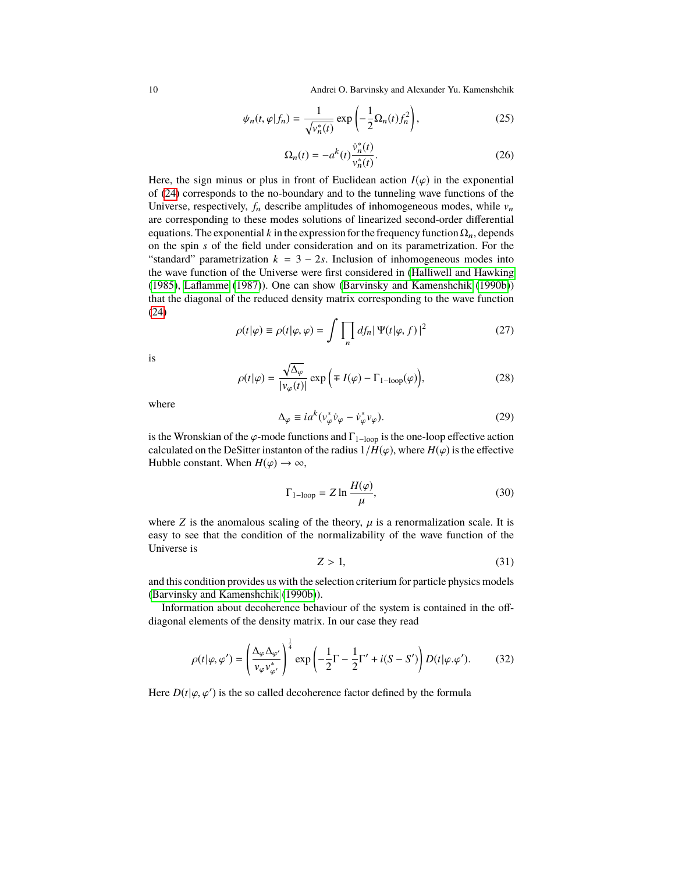10 Andrei O. Barvinsky and Alexander Yu. Kamenshchik

$$
\psi_n(t,\varphi|f_n) = \frac{1}{\sqrt{\nu_n^*(t)}} \exp\left(-\frac{1}{2}\Omega_n(t)f_n^2\right),\tag{25}
$$

$$
\Omega_n(t) = -a^k(t) \frac{\dot{v}_n^*(t)}{v_n^*(t)}.
$$
\n(26)

Here, the sign minus or plus in front of Euclidean action  $I(\varphi)$  in the exponential of [\(24\)](#page-8-0) corresponds to the no-boundary and to the tunneling wave functions of the Universe, respectively,  $f_n$  describe amplitudes of inhomogeneous modes, while  $v_n$ are corresponding to these modes solutions of linearized second-order differential equations. The exponential  $k$  in the expression for the frequency function  $\Omega_n$ , depends on the spin *s* of the field under consideration and on its parametrization. For the "standard" parametrization  $k = 3 - 2s$ . Inclusion of inhomogeneous modes into the wave function of the Universe were first considered in [\(Halliwell and Hawking](#page-23-10) [\(1985\)](#page-23-10), [Laflamme](#page-23-11) [\(1987\)](#page-23-11)). One can show [\(Barvinsky and Kamenshchik](#page-21-8) [\(1990b\)](#page-21-8)) that the diagonal of the reduced density matrix corresponding to the wave function [\(24\)](#page-8-0)

$$
\rho(t|\varphi) \equiv \rho(t|\varphi, \varphi) = \int \prod_{n} df_n |\Psi(t|\varphi, f)|^2 \tag{27}
$$

is

$$
\rho(t|\varphi) = \frac{\sqrt{\Delta_{\varphi}}}{|\nu_{\varphi}(t)|} \exp\left(\mp I(\varphi) - \Gamma_{1-\text{loop}}(\varphi)\right),\tag{28}
$$

where

$$
\Delta_{\varphi} \equiv i a^k (v_{\varphi}^* \dot{v}_{\varphi} - \dot{v}_{\varphi}^* v_{\varphi}). \tag{29}
$$

is the Wronskian of the  $\varphi$ -mode functions and  $\Gamma_{1-loop}$  is the one-loop effective action calculated on the DeSitter instanton of the radius  $1/H(\varphi)$ , where  $H(\varphi)$  is the effective Hubble constant. When  $H(\varphi) \to \infty$ ,

$$
\Gamma_{1-\text{loop}} = Z \ln \frac{H(\varphi)}{\mu},\tag{30}
$$

where  $Z$  is the anomalous scaling of the theory,  $\mu$  is a renormalization scale. It is easy to see that the condition of the normalizability of the wave function of the Universe is

$$
Z > 1,\tag{31}
$$

and this condition provides us with the selection criterium for particle physics models [\(Barvinsky and Kamenshchik](#page-21-8) [\(1990b\)](#page-21-8)).

Information about decoherence behaviour of the system is contained in the offdiagonal elements of the density matrix. In our case they read

$$
\rho(t|\varphi,\varphi') = \left(\frac{\Delta_{\varphi}\Delta_{\varphi'}}{v_{\varphi}v_{\varphi'}^*}\right)^{\frac{1}{4}} \exp\left(-\frac{1}{2}\Gamma - \frac{1}{2}\Gamma' + i(S - S')\right)D(t|\varphi.\varphi').
$$
 (32)

Here  $D(t|\varphi, \varphi')$  is the so called decoherence factor defined by the formula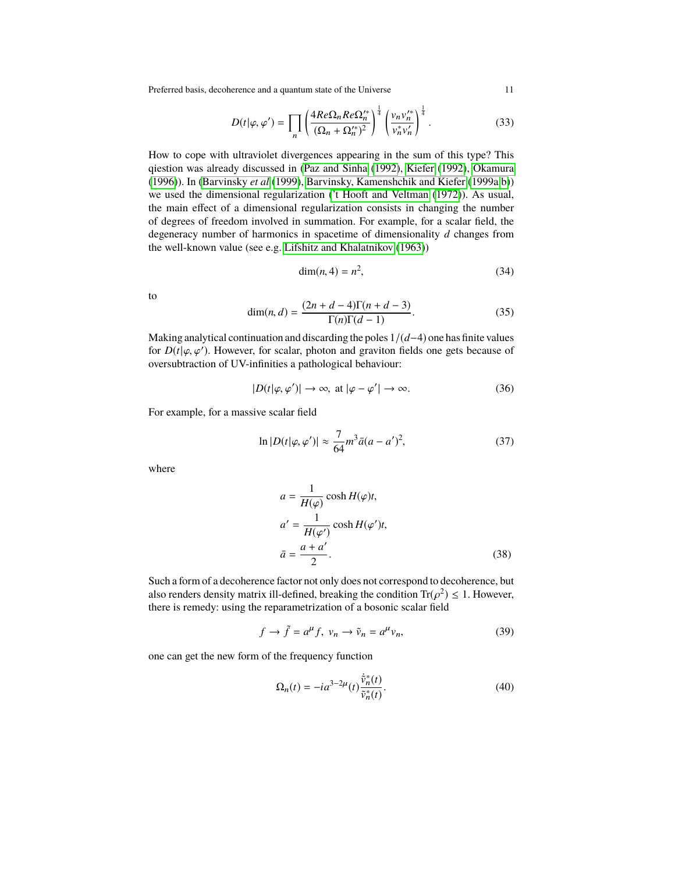Preferred basis, decoherence and a quantum state of the Universe 11

$$
D(t|\varphi,\varphi') = \prod_{n} \left( \frac{4Re\Omega_n Re\Omega_n'^*}{(\Omega_n + \Omega_n'^*)^2} \right)^{\frac{1}{4}} \left( \frac{v_n v_n'^*}{v_n^* v_n'} \right)^{\frac{1}{4}}.
$$
 (33)

How to cope with ultraviolet divergences appearing in the sum of this type? This qiestion was already discussed in [\(Paz and Sinha](#page-24-9) [\(1992\)](#page-24-9), [Kiefer](#page-23-12) [\(1992\)](#page-23-12), [Okamura](#page-23-13) [\(1996\)](#page-23-13)). In [\(Barvinsky](#page-21-5) *et al* [\(1999\)](#page-21-5), [Barvinsky, Kamenshchik and Kiefer](#page-21-6) [\(1999a](#page-21-6)[,b\)](#page-21-7)) we used the dimensional regularization [\('t Hooft and Veltman](#page-23-14) [\(1972\)](#page-23-14)). As usual, the main effect of a dimensional regularization consists in changing the number of degrees of freedom involved in summation. For example, for a scalar field, the degeneracy number of harmonics in spacetime of dimensionality *d* changes from the well-known value (see e.g. [Lifshitz and Khalatnikov](#page-23-15) [\(1963\)](#page-23-15))

$$
\dim(n, 4) = n^2,\tag{34}
$$

to

$$
\dim(n, d) = \frac{(2n+d-4)\Gamma(n+d-3)}{\Gamma(n)\Gamma(d-1)}.
$$
\n(35)

Making analytical continuation and discarding the poles 1/(*d*−4) one has finite values for  $D(t|\varphi, \varphi')$ . However, for scalar, photon and graviton fields one gets because of overcubitaction of IIV-infinities a pathological behaviour: oversubtraction of UV-infinities a pathological behaviour:

$$
|D(t|\varphi,\varphi')| \to \infty, \text{ at } |\varphi - \varphi'| \to \infty.
$$
 (36)

For example, for a massive scalar field

$$
\ln|D(t|\varphi, \varphi')| \approx \frac{7}{64} m^3 \bar{a} (a - a')^2,\tag{37}
$$

where

$$
a = \frac{1}{H(\varphi)} \cosh H(\varphi)t,
$$
  
\n
$$
a' = \frac{1}{H(\varphi')} \cosh H(\varphi')t,
$$
  
\n
$$
\bar{a} = \frac{a + a'}{2}.
$$
\n(38)

Such a form of a decoherence factor not only does not correspond to decoherence, but also renders density matrix ill-defined, breaking the condition  $\text{Tr}(\rho^2) \leq 1$ . However, there is remedy: using the reparametrization of a bosonic scalar field there is remedy: using the reparametrization of a bosonic scalar field

$$
f \to \tilde{f} = a^{\mu} f, \ v_n \to \tilde{\nu}_n = a^{\mu} v_n,
$$
 (39)

one can get the new form of the frequency function

$$
\Omega_n(t) = -ia^{3-2\mu}(t)\frac{\dot{\tilde{v}}_n^*(t)}{\tilde{v}_n^*(t)}.
$$
\n(40)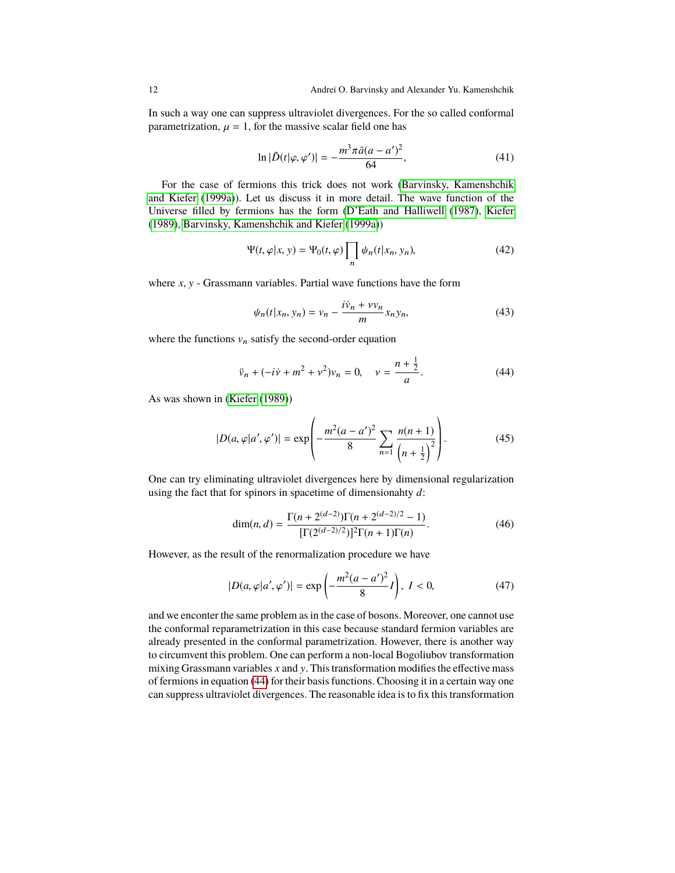In such a way one can suppress ultraviolet divergences. For the so called conformal parametrization,  $\mu = 1$ , for the massive scalar field one has

$$
\ln|\tilde{D}(t|\varphi,\varphi')| = -\frac{m^3\pi\bar{a}(a-a')^2}{64},\tag{41}
$$

For the case of fermions this trick does not work [\(Barvinsky, Kamenshchik](#page-21-6) [and Kiefer](#page-21-6) [\(1999a\)](#page-21-6)). Let us discuss it in more detail. The wave function of the Universe filled by fermions has the form [\(D'Eath and Halliwell](#page-22-11) [\(1987\)](#page-22-11), [Kiefer](#page-23-16) [\(1989\)](#page-23-16), [Barvinsky, Kamenshchik and Kiefer](#page-21-6) [\(1999a\)](#page-21-6))

$$
\Psi(t,\varphi|x,y) = \Psi_0(t,\varphi) \prod_n \psi_n(t|x_n,y_n),\tag{42}
$$

where  $x$ ,  $y$  - Grassmann variables. Partial wave functions have the form

$$
\psi_n(t|x_n, y_n) = v_n - \frac{i\dot{v}_n + v v_n}{m} x_n y_n,\tag{43}
$$

where the functions  $v_n$  satisfy the second-order equation

<span id="page-11-0"></span>
$$
\ddot{v}_n + (-i\dot{v} + m^2 + v^2)v_n = 0, \quad v = \frac{n + \frac{1}{2}}{a}.
$$
 (44)

As was shown in [\(Kiefer](#page-23-16) [\(1989\)](#page-23-16))

$$
|D(a,\varphi|a',\varphi')| = \exp\left(-\frac{m^2(a-a')^2}{8}\sum_{n=1}^{\infty}\frac{n(n+1)}{\left(n+\frac{1}{2}\right)^2}\right).
$$
 (45)

One can try eliminating ultraviolet divergences here by dimensional regularization using the fact that for spinors in spacetime of dimensionahty *d*:

$$
\dim(n, d) = \frac{\Gamma(n + 2^{(d-2)})\Gamma(n + 2^{(d-2)/2} - 1)}{[\Gamma(2^{(d-2)/2})]^2 \Gamma(n + 1)\Gamma(n)}.
$$
\n(46)

However, as the result of the renormalization procedure we have

$$
|D(a,\varphi|a',\varphi')| = \exp\left(-\frac{m^2(a-a')^2}{8}I\right), \ I < 0,\tag{47}
$$

and we enconter the same problem as in the case of bosons. Moreover, one cannot use the conformal reparametrization in this case because standard fermion variables are already presented in the conformal parametrization. However, there is another way to circumvent this problem. One can perform a non-local Bogoliubov transformation mixing Grassmann variables *x* and y. This transformation modifies the effective mass of fermions in equation [\(44\)](#page-11-0) for their basis functions. Choosing it in a certain way one can suppress ultraviolet divergences. The reasonable idea is to fix this transformation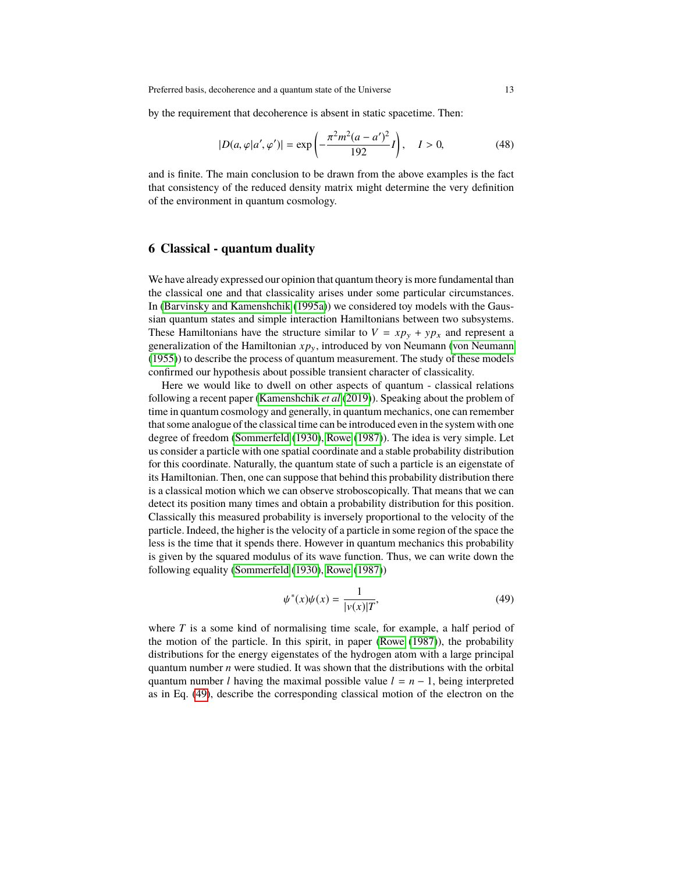by the requirement that decoherence is absent in static spacetime. Then:

$$
|D(a,\varphi|a',\varphi')| = \exp\left(-\frac{\pi^2 m^2 (a-a')^2}{192}I\right), \quad I > 0,
$$
 (48)

and is finite. The main conclusion to be drawn from the above examples is the fact that consistency of the reduced density matrix might determine the very definition of the environment in quantum cosmology.

#### **6 Classical - quantum duality**

We have already expressed our opinion that quantum theory is more fundamental than the classical one and that classicality arises under some particular circumstances. In [\(Barvinsky and Kamenshchik](#page-21-3) [\(1995a\)](#page-21-3)) we considered toy models with the Gaussian quantum states and simple interaction Hamiltonians between two subsystems. These Hamiltonians have the structure similar to  $V = xp_y + yp_x$  and represent a generalization of the Hamiltonian  $xp_y$ , introduced by von Neumann [\(von Neumann](#page-24-0) [\(1955\)](#page-24-0)) to describe the process of quantum measurement. The study of these models confirmed our hypothesis about possible transient character of classicality.

Here we would like to dwell on other aspects of quantum - classical relations following a recent paper [\(Kamenshchik](#page-23-5) *et al* [\(2019\)](#page-23-5)). Speaking about the problem of time in quantum cosmology and generally, in quantum mechanics, one can remember that some analogue of the classical time can be introduced even in the system with one degree of freedom [\(Sommerfeld](#page-24-10) [\(1930\)](#page-24-10), [Rowe](#page-24-11) [\(1987\)](#page-24-11)). The idea is very simple. Let us consider a particle with one spatial coordinate and a stable probability distribution for this coordinate. Naturally, the quantum state of such a particle is an eigenstate of its Hamiltonian. Then, one can suppose that behind this probability distribution there is a classical motion which we can observe stroboscopically. That means that we can detect its position many times and obtain a probability distribution for this position. Classically this measured probability is inversely proportional to the velocity of the particle. Indeed, the higher is the velocity of a particle in some region of the space the less is the time that it spends there. However in quantum mechanics this probability is given by the squared modulus of its wave function. Thus, we can write down the following equality [\(Sommerfeld](#page-24-10) [\(1930\)](#page-24-10), [Rowe](#page-24-11) [\(1987\)](#page-24-11))

<span id="page-12-0"></span>
$$
\psi^*(x)\psi(x) = \frac{1}{|\nu(x)|T},
$$
\n(49)

where *T* is a some kind of normalising time scale, for example, a half period of the motion of the particle. In this spirit, in paper [\(Rowe](#page-24-11) [\(1987\)](#page-24-11)), the probability distributions for the energy eigenstates of the hydrogen atom with a large principal quantum number *n* were studied. It was shown that the distributions with the orbital quantum number *l* having the maximal possible value  $l = n - 1$ , being interpreted as in Eq. [\(49\)](#page-12-0), describe the corresponding classical motion of the electron on the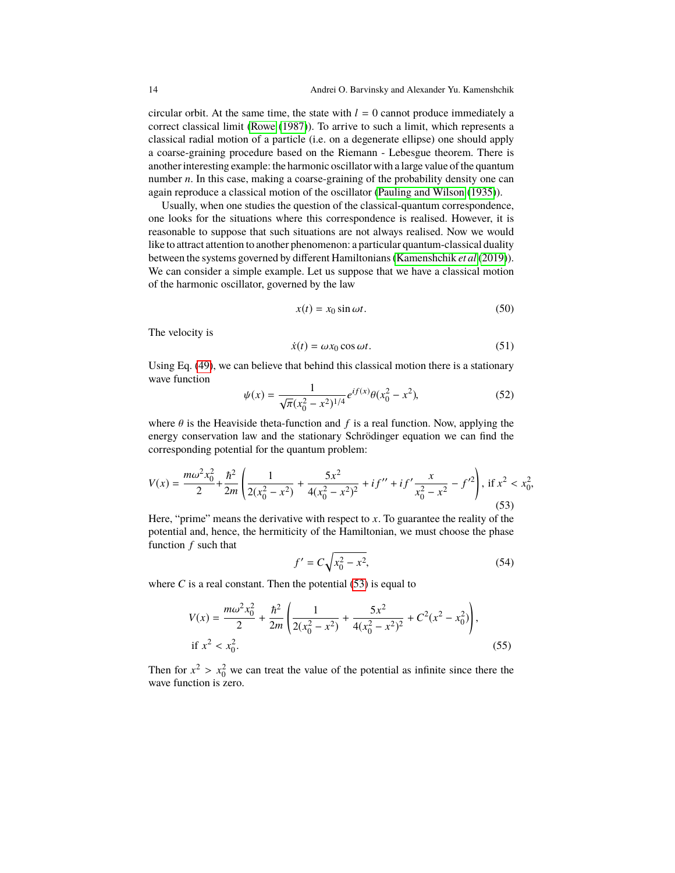circular orbit. At the same time, the state with  $l = 0$  cannot produce immediately a correct classical limit [\(Rowe](#page-24-11) [\(1987\)](#page-24-11)). To arrive to such a limit, which represents a classical radial motion of a particle (i.e. on a degenerate ellipse) one should apply a coarse-graining procedure based on the Riemann - Lebesgue theorem. There is another interesting example: the harmonic oscillator with a large value of the quantum number *n*. In this case, making a coarse-graining of the probability density one can again reproduce a classical motion of the oscillator [\(Pauling and Wilson](#page-23-17) [\(1935\)](#page-23-17)).

Usually, when one studies the question of the classical-quantum correspondence, one looks for the situations where this correspondence is realised. However, it is reasonable to suppose that such situations are not always realised. Now we would like to attract attention to another phenomenon: a particular quantum-classical duality between the systems governed by different Hamiltonians [\(Kamenshchik](#page-23-5) *et al* [\(2019\)](#page-23-5)). We can consider a simple example. Let us suppose that we have a classical motion of the harmonic oscillator, governed by the law

$$
x(t) = x_0 \sin \omega t. \tag{50}
$$

The velocity is

$$
\dot{x}(t) = \omega x_0 \cos \omega t. \tag{51}
$$

Using Eq. [\(49\)](#page-12-0), we can believe that behind this classical motion there is a stationary wave function

$$
\psi(x) = \frac{1}{\sqrt{\pi}(x_0^2 - x^2)^{1/4}} e^{if(x)} \theta(x_0^2 - x^2),\tag{52}
$$

where  $\theta$  is the Heaviside theta-function and  $f$  is a real function. Now, applying the energy conservation law and the stationary Schrödinger equation we can find the corresponding potential for the quantum problem:

<span id="page-13-0"></span>
$$
V(x) = \frac{m\omega^2 x_0^2}{2} + \frac{\hbar^2}{2m} \left( \frac{1}{2(x_0^2 - x^2)} + \frac{5x^2}{4(x_0^2 - x^2)^2} + if'' + if' \frac{x}{x_0^2 - x^2} - f'^2 \right), \text{ if } x^2 < x_0^2,\tag{53}
$$

Here, "prime" means the derivative with respect to *. To guarantee the reality of the* potential and, hence, the hermiticity of the Hamiltonian, we must choose the phase function *f* such that

$$
f' = C\sqrt{x_0^2 - x^2},\tag{54}
$$

where  $C$  is a real constant. Then the potential  $(53)$  is equal to

$$
V(x) = \frac{m\omega^2 x_0^2}{2} + \frac{\hbar^2}{2m} \left( \frac{1}{2(x_0^2 - x^2)} + \frac{5x^2}{4(x_0^2 - x^2)^2} + C^2(x^2 - x_0^2) \right),
$$
  
if  $x^2 < x_0^2$ . (55)

Then for  $x^2 > x_0^2$  we can treat the value of the potential as infinite since there the wave function is zero. wave function is zero.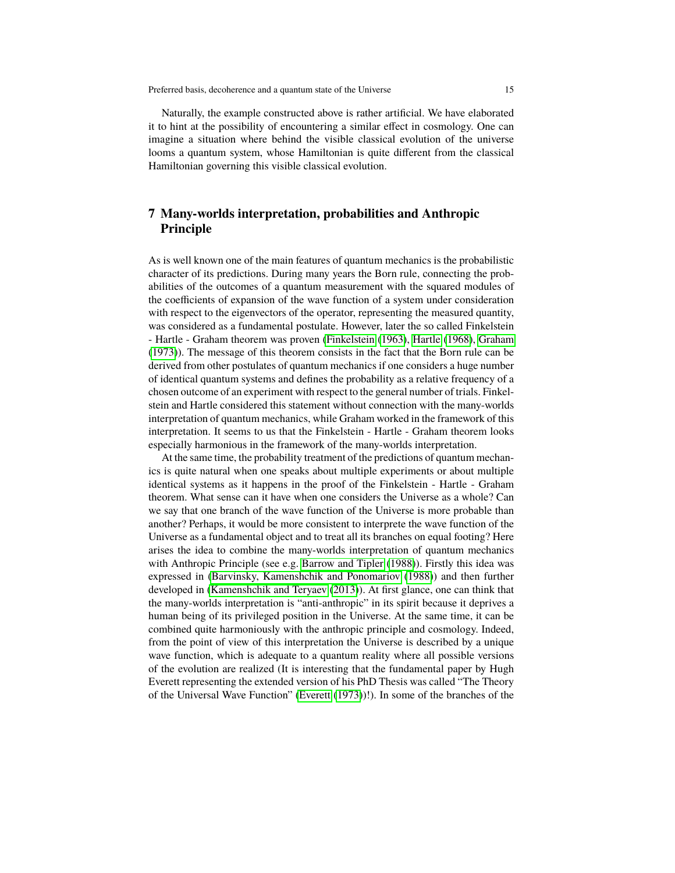Naturally, the example constructed above is rather artificial. We have elaborated it to hint at the possibility of encountering a similar effect in cosmology. One can imagine a situation where behind the visible classical evolution of the universe looms a quantum system, whose Hamiltonian is quite different from the classical Hamiltonian governing this visible classical evolution.

## **7 Many-worlds interpretation, probabilities and Anthropic Principle**

As is well known one of the main features of quantum mechanics is the probabilistic character of its predictions. During many years the Born rule, connecting the probabilities of the outcomes of a quantum measurement with the squared modules of the coefficients of expansion of the wave function of a system under consideration with respect to the eigenvectors of the operator, representing the measured quantity, was considered as a fundamental postulate. However, later the so called Finkelstein - Hartle - Graham theorem was proven [\(Finkelstein](#page-22-12) [\(1963\)](#page-22-12), [Hartle](#page-23-18) [\(1968\)](#page-23-18), [Graham](#page-23-19) [\(1973\)](#page-23-19)). The message of this theorem consists in the fact that the Born rule can be derived from other postulates of quantum mechanics if one considers a huge number of identical quantum systems and defines the probability as a relative frequency of a chosen outcome of an experiment with respect to the general number of trials. Finkelstein and Hartle considered this statement without connection with the many-worlds interpretation of quantum mechanics, while Graham worked in the framework of this interpretation. It seems to us that the Finkelstein - Hartle - Graham theorem looks especially harmonious in the framework of the many-worlds interpretation.

At the same time, the probability treatment of the predictions of quantum mechanics is quite natural when one speaks about multiple experiments or about multiple identical systems as it happens in the proof of the Finkelstein - Hartle - Graham theorem. What sense can it have when one considers the Universe as a whole? Can we say that one branch of the wave function of the Universe is more probable than another? Perhaps, it would be more consistent to interprete the wave function of the Universe as a fundamental object and to treat all its branches on equal footing? Here arises the idea to combine the many-worlds interpretation of quantum mechanics with Anthropic Principle (see e.g. [Barrow and Tipler](#page-21-11) [\(1988\)](#page-21-11)). Firstly this idea was expressed in [\(Barvinsky, Kamenshchik and Ponomariov](#page-21-1) [\(1988\)](#page-21-1)) and then further developed in [\(Kamenshchik and Teryaev](#page-23-20) [\(2013\)](#page-23-20)). At first glance, one can think that the many-worlds interpretation is "anti-anthropic" in its spirit because it deprives a human being of its privileged position in the Universe. At the same time, it can be combined quite harmoniously with the anthropic principle and cosmology. Indeed, from the point of view of this interpretation the Universe is described by a unique wave function, which is adequate to a quantum reality where all possible versions of the evolution are realized (It is interesting that the fundamental paper by Hugh Everett representing the extended version of his PhD Thesis was called "The Theory of the Universal Wave Function" [\(Everett](#page-22-13) [\(1973\)](#page-22-13))!). In some of the branches of the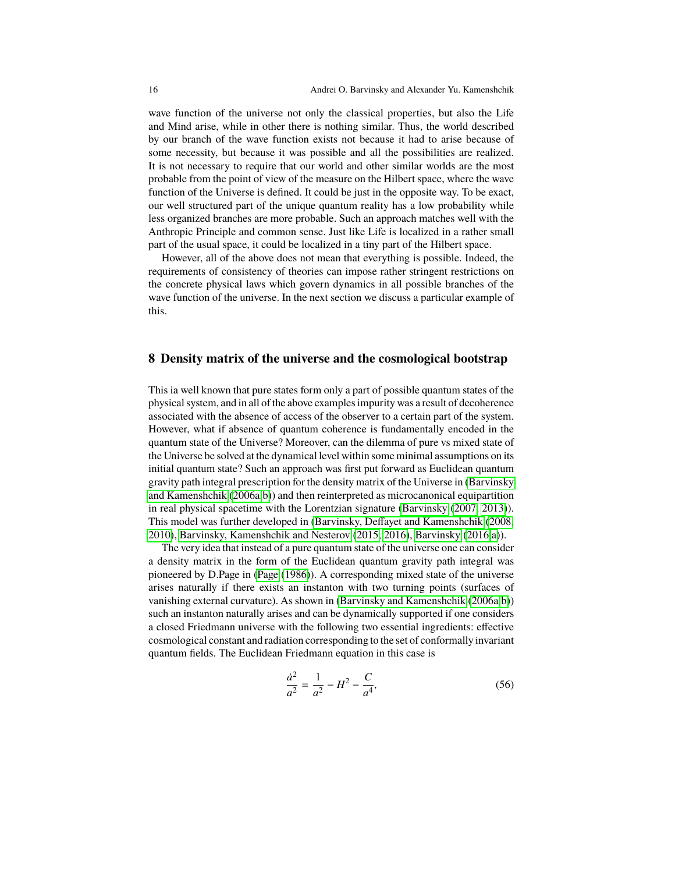wave function of the universe not only the classical properties, but also the Life and Mind arise, while in other there is nothing similar. Thus, the world described by our branch of the wave function exists not because it had to arise because of some necessity, but because it was possible and all the possibilities are realized. It is not necessary to require that our world and other similar worlds are the most probable from the point of view of the measure on the Hilbert space, where the wave function of the Universe is defined. It could be just in the opposite way. To be exact, our well structured part of the unique quantum reality has a low probability while less organized branches are more probable. Such an approach matches well with the Anthropic Principle and common sense. Just like Life is localized in a rather small part of the usual space, it could be localized in a tiny part of the Hilbert space.

However, all of the above does not mean that everything is possible. Indeed, the requirements of consistency of theories can impose rather stringent restrictions on the concrete physical laws which govern dynamics in all possible branches of the wave function of the universe. In the next section we discuss a particular example of this.

#### **8 Density matrix of the universe and the cosmological bootstrap**

This ia well known that pure states form only a part of possible quantum states of the physical system, and in all of the above examples impurity was a result of decoherence associated with the absence of access of the observer to a certain part of the system. However, what if absence of quantum coherence is fundamentally encoded in the quantum state of the Universe? Moreover, can the dilemma of pure vs mixed state of the Universe be solved at the dynamical level within some minimal assumptions on its initial quantum state? Such an approach was first put forward as Euclidean quantum gravity path integral prescription for the density matrix of the Universe in [\(Barvinsky](#page-21-12) [and Kamenshchik](#page-21-12) [\(2006a](#page-21-12)[,b\)](#page-21-13)) and then reinterpreted as microcanonical equipartition in real physical spacetime with the Lorentzian signature [\(Barvinsky](#page-21-14) [\(2007,](#page-21-14) [2013\)](#page-21-15)). This model was further developed in [\(Barvinsky, Deffayet and Kamenshchik](#page-22-14) [\(2008,](#page-22-14) [2010\)](#page-22-15), [Barvinsky, Kamenshchik and Nesterov](#page-22-16) [\(2015,](#page-22-16) [2016\)](#page-22-17), [Barvinsky](#page-22-18) [\(2016,](#page-22-18)[a\)](#page-22-19)).

The very idea that instead of a pure quantum state of the universe one can consider a density matrix in the form of the Euclidean quantum gravity path integral was pioneered by D.Page in [\(Page](#page-23-21) [\(1986\)](#page-23-21)). A corresponding mixed state of the universe arises naturally if there exists an instanton with two turning points (surfaces of vanishing external curvature). As shown in [\(Barvinsky and Kamenshchik](#page-21-12) [\(2006a](#page-21-12)[,b\)](#page-21-13)) such an instanton naturally arises and can be dynamically supported if one considers a closed Friedmann universe with the following two essential ingredients: effective cosmological constant and radiation corresponding to the set of conformally invariant quantum fields. The Euclidean Friedmann equation in this case is

$$
\frac{\dot{a}^2}{a^2} = \frac{1}{a^2} - H^2 - \frac{C}{a^4},\tag{56}
$$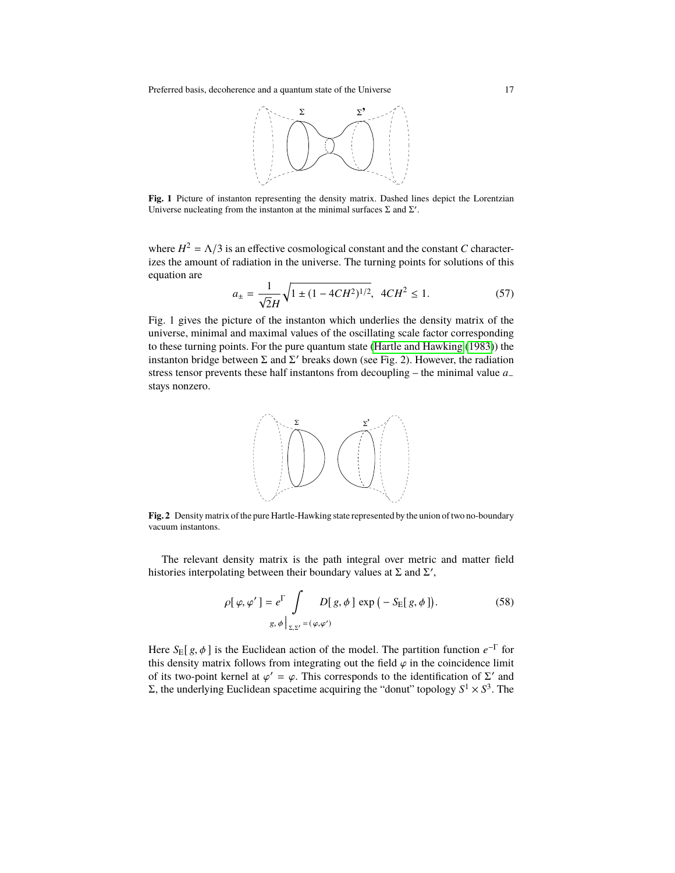Preferred basis, decoherence and a quantum state of the Universe 17



Fig. 1 Picture of instanton representing the density matrix. Dashed lines depict the Lorentzian Universe nucleating from the instanton at the minimal surfaces  $\Sigma$  and  $\Sigma'$ .

where  $H^2 = \Lambda/3$  is an effective cosmological constant and the constant *C* characterizes the amount of radiation in the universe. The turning points for solutions of this equation are

$$
a_{\pm} = \frac{1}{\sqrt{2}H} \sqrt{1 \pm (1 - 4CH^2)^{1/2}}, \ 4CH^2 \le 1. \tag{57}
$$

Fig. 1 gives the picture of the instanton which underlies the density matrix of the universe, minimal and maximal values of the oscillating scale factor corresponding to these turning points. For the pure quantum state [\(Hartle and Hawking](#page-23-9) [\(1983\)](#page-23-9)) the instanton bridge between  $\Sigma$  and  $\Sigma'$  breaks down (see Fig. 2). However, the radiation stress tensor prevents these half instantons from decoupling – the minimal value *a*− stays nonzero.



**Fig. 2** Density matrix of the pure Hartle-Hawking state represented by the union of two no-boundary vacuum instantons.

The relevant density matrix is the path integral over metric and matter field histories interpolating between their boundary values at  $\Sigma$  and  $\Sigma'$ ,

<span id="page-16-0"></span>
$$
\rho[\varphi, \varphi'] = e^{\Gamma} \int D[\,g, \phi \,] \exp(-S_{\mathcal{E}}[\,g, \phi \,]). \tag{58}
$$
\n
$$
g, \phi \Big|_{\Sigma, \Sigma'} = (\varphi, \varphi')
$$

Here  $S_E[g, \phi]$  is the Euclidean action of the model. The partition function  $e^{-\Gamma}$  for this density matrix follows from integrating out the field  $\omega$  in the coincidence limit this density matrix follows from integrating out the field  $\varphi$  in the coincidence limit of its two-point kernel at  $\varphi' = \varphi$ . This corresponds to the identification of Σ' and Σ, the underlying Euclidean spacetime acquiring the "donut" topology  $S^1 \times S^3$ . The  $\gamma' = \varphi$ . This corresponds to the identification of  $\Sigma'$  and spacetime acquiring the "donut" topology  $S^1 \times S^3$ . The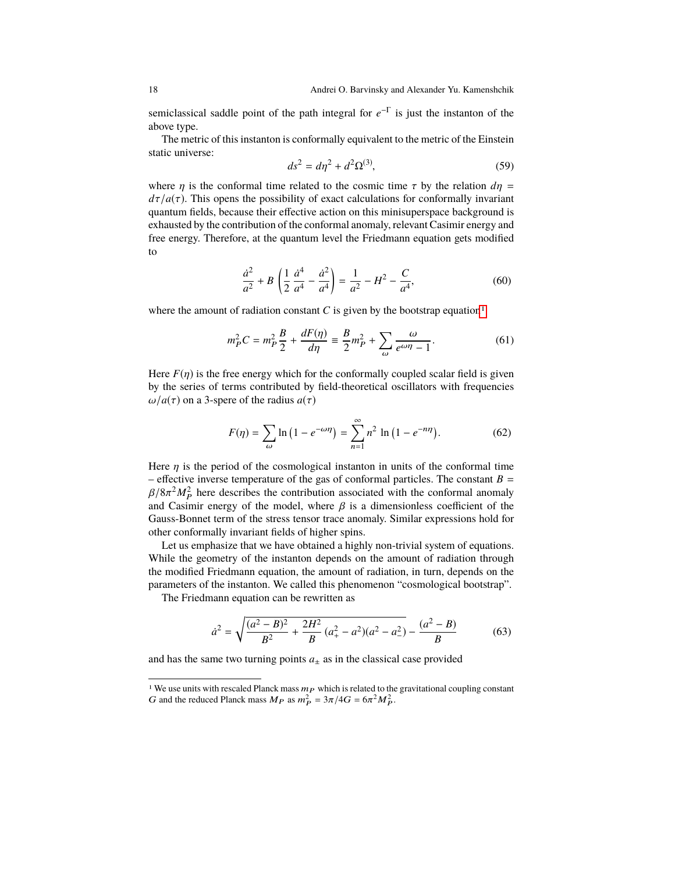semiclassical saddle point of the path integral for *e* −Γ is just the instanton of the above type.

The metric of this instanton is conformally equivalent to the metric of the Einstein static universe:

$$
ds^2 = d\eta^2 + d^2\Omega^{(3)},
$$
\t(59)

where  $\eta$  is the conformal time related to the cosmic time  $\tau$  by the relation  $d\eta$  =  $d\tau/a(\tau)$ . This opens the possibility of exact calculations for conformally invariant quantum fields, because their effective action on this minisuperspace background is exhausted by the contribution of the conformal anomaly, relevant Casimir energy and free energy. Therefore, at the quantum level the Friedmann equation gets modified to

$$
\frac{\dot{a}^2}{a^2} + B\left(\frac{1}{2}\frac{\dot{a}^4}{a^4} - \frac{\dot{a}^2}{a^4}\right) = \frac{1}{a^2} - H^2 - \frac{C}{a^4},\tag{60}
$$

where the amount of radiation constant  $C$  is given by the bootstrap equation<sup>[1](#page-17-0)</sup>

$$
m_P^2 C = m_P^2 \frac{B}{2} + \frac{dF(\eta)}{d\eta} \equiv \frac{B}{2} m_P^2 + \sum_{\omega} \frac{\omega}{e^{\omega \eta} - 1}.
$$
 (61)

Here  $F(\eta)$  is the free energy which for the conformally coupled scalar field is given by the series of terms contributed by field-theoretical oscillators with frequencies  $\omega/a(\tau)$  on a 3-spere of the radius  $a(\tau)$ 

$$
F(\eta) = \sum_{\omega} \ln (1 - e^{-\omega \eta}) = \sum_{n=1}^{\infty} n^2 \ln (1 - e^{-n\eta}).
$$
 (62)

Here  $\eta$  is the period of the cosmological instanton in units of the conformal time – effective inverse temperature of the gas of conformal particles. The constant  $B =$  $\beta/8\pi^2 M_p^2$  here describes the contribution associated with the conformal anomaly and Casimir energy of the model, where  $\beta$  is a dimensionless coefficient of the and Casimir energy of the model, where  $\beta$  is a dimensionless coefficient of the Gauss-Bonnet term of the stress tensor trace anomaly. Similar expressions hold for other conformally invariant fields of higher spins.

Let us emphasize that we have obtained a highly non-trivial system of equations. While the geometry of the instanton depends on the amount of radiation through the modified Friedmann equation, the amount of radiation, in turn, depends on the parameters of the instanton. We called this phenomenon "cosmological bootstrap".

The Friedmann equation can be rewritten as

$$
\dot{a}^2 = \sqrt{\frac{(a^2 - B)^2}{B^2} + \frac{2H^2}{B}(a_+^2 - a^2)(a^2 - a_-^2)} - \frac{(a^2 - B)}{B} \tag{63}
$$

and has the same two turning points  $a_{\pm}$  as in the classical case provided

<span id="page-17-0"></span><sup>&</sup>lt;sup>1</sup> We use units with rescaled Planck mass  $m_P$  which is related to the gravitational coupling constant G and the reduced Planck mass  $M_P$  as  $m_P^2 = 3\pi/4G = 6\pi^2 M_P^2$ .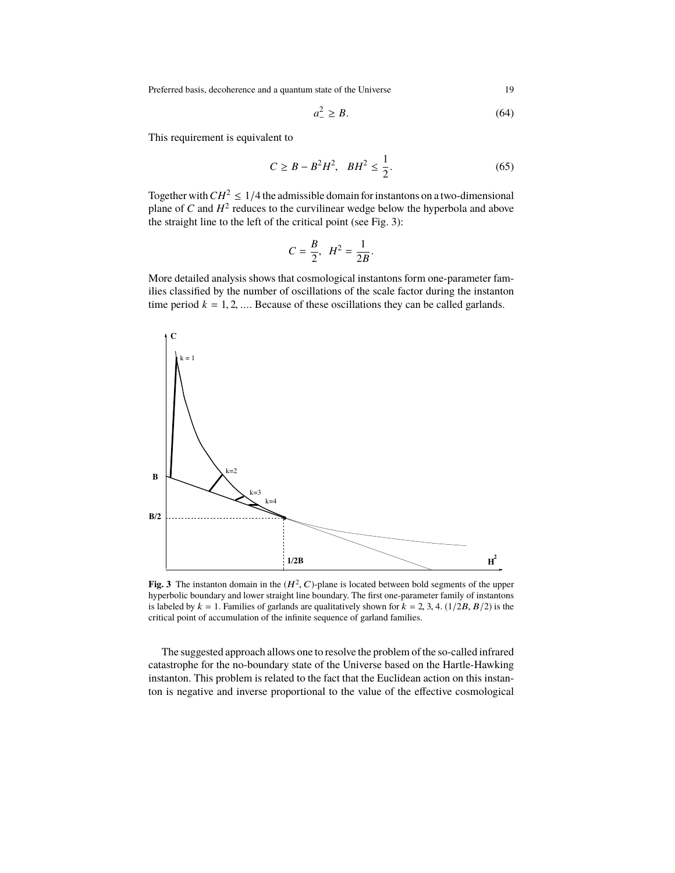Preferred basis, decoherence and a quantum state of the Universe 19

$$
a_-^2 \ge B. \tag{64}
$$

This requirement is equivalent to

$$
C \ge B - B^2 H^2, \quad BH^2 \le \frac{1}{2}.
$$
 (65)

Together with  $CH^2 \leq 1/4$  the admissible domain for instantons on a two-dimensional plane of  $C$  and  $H^2$  reduces to the curvilinear wedge below the hyperbola and above the straight line to the left of the critical point (see Fig. 3):

$$
C = \frac{B}{2}, \ H^2 = \frac{1}{2B}
$$

More detailed analysis shows that cosmological instantons form one-parameter families classified by the number of oscillations of the scale factor during the instanton time period  $k = 1, 2, \dots$  Because of these oscillations they can be called garlands.



**Fig. 3** The instanton domain in the  $(H^2, C)$ -plane is located between bold segments of the upper hyperbolic boundary and lower straight line boundary. The first one-parameter family of instantons hyperbolic boundary and lower straight line boundary. The first one-parameter family of instantons is labeled by  $k = 1$ . Families of garlands are qualitatively shown for  $k = 2, 3, 4$ . (1/2B,  $B/2$ ) is the critical point of accumulation of the infinite sequence of garland families.

The suggested approach allows one to resolve the problem of the so-called infrared catastrophe for the no-boundary state of the Universe based on the Hartle-Hawking instanton. This problem is related to the fact that the Euclidean action on this instanton is negative and inverse proportional to the value of the effective cosmological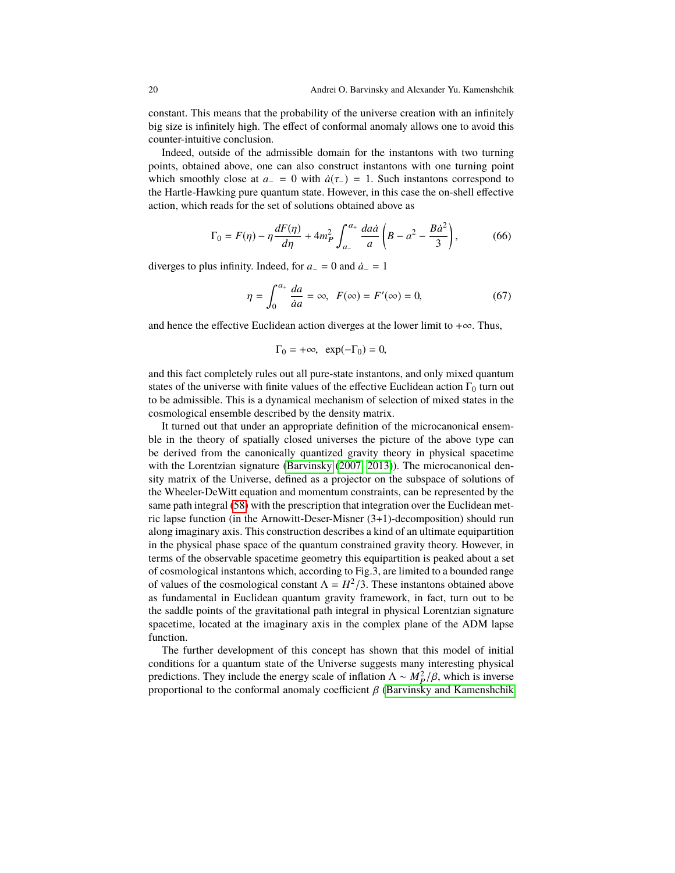constant. This means that the probability of the universe creation with an infinitely big size is infinitely high. The effect of conformal anomaly allows one to avoid this counter-intuitive conclusion.

Indeed, outside of the admissible domain for the instantons with two turning points, obtained above, one can also construct instantons with one turning point which smoothly close at  $a_-\equiv 0$  with  $\dot{a}(\tau_-\equiv 1)$ . Such instantons correspond to the Hartle-Hawking pure quantum state. However, in this case the on-shell effective action, which reads for the set of solutions obtained above as

$$
\Gamma_0 = F(\eta) - \eta \frac{dF(\eta)}{d\eta} + 4m_P^2 \int_{a_-}^{a_+} \frac{da\dot{a}}{a} \left( B - a^2 - \frac{B\dot{a}^2}{3} \right),\tag{66}
$$

diverges to plus infinity. Indeed, for  $a_$  = 0 and  $\dot{a}_$  = 1

$$
\eta = \int_0^{a_+} \frac{da}{aa} = \infty, \ \ F(\infty) = F'(\infty) = 0,\tag{67}
$$

and hence the effective Euclidean action diverges at the lower limit to  $+\infty$ . Thus,

$$
\Gamma_0 = +\infty, \ \exp(-\Gamma_0) = 0,
$$

and this fact completely rules out all pure-state instantons, and only mixed quantum states of the universe with finite values of the effective Euclidean action  $\Gamma_0$  turn out to be admissible. This is a dynamical mechanism of selection of mixed states in the cosmological ensemble described by the density matrix.

It turned out that under an appropriate definition of the microcanonical ensemble in the theory of spatially closed universes the picture of the above type can be derived from the canonically quantized gravity theory in physical spacetime with the Lorentzian signature [\(Barvinsky](#page-21-14) [\(2007,](#page-21-14) [2013\)](#page-21-15)). The microcanonical density matrix of the Universe, defined as a projector on the subspace of solutions of the Wheeler-DeWitt equation and momentum constraints, can be represented by the same path integral [\(58\)](#page-16-0) with the prescription that integration over the Euclidean metric lapse function (in the Arnowitt-Deser-Misner (3+1)-decomposition) should run along imaginary axis. This construction describes a kind of an ultimate equipartition in the physical phase space of the quantum constrained gravity theory. However, in terms of the observable spacetime geometry this equipartition is peaked about a set of cosmological instantons which, according to Fig.3, are limited to a bounded range of values of the cosmological constant  $\Lambda = H^2/3$ . These instantons obtained above as fundamental in Euclidean quantum gravity framework, in fact, turn out to be the saddle points of the gravitational path integral in physical Lorentzian signature spacetime, located at the imaginary axis in the complex plane of the ADM lapse function.

The further development of this concept has shown that this model of initial conditions for a quantum state of the Universe suggests many interesting physical predictions. They include the energy scale of inflation  $\Lambda \sim M_P^2/\beta$ , which is inverse<br>proportional to the conformal anomaly coefficient  $\beta$  (Baryinsky and Kamenshchik proportional to the conformal anomaly coefficient  $\beta$  [\(Barvinsky and Kamenshchik](#page-21-12)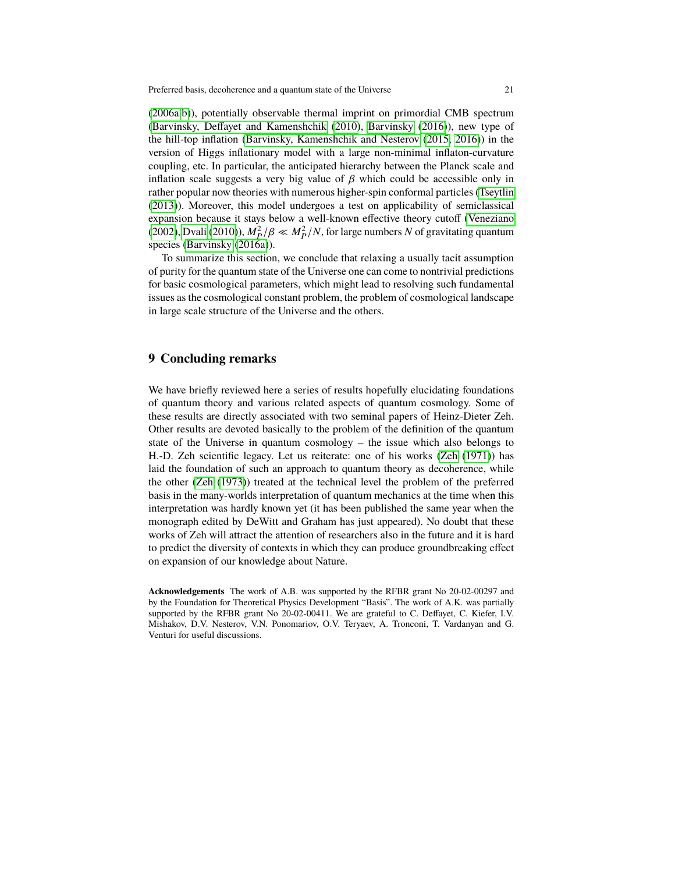[\(2006a](#page-21-12)[,b\)](#page-21-13)), potentially observable thermal imprint on primordial CMB spectrum [\(Barvinsky, Deffayet and Kamenshchik](#page-22-15) [\(2010\)](#page-22-15), [Barvinsky](#page-22-18) [\(2016\)](#page-22-18)), new type of the hill-top inflation [\(Barvinsky, Kamenshchik and Nesterov](#page-22-16) [\(2015,](#page-22-16) [2016\)](#page-22-17)) in the version of Higgs inflationary model with a large non-minimal inflaton-curvature coupling, etc. In particular, the anticipated hierarchy between the Planck scale and inflation scale suggests a very big value of  $\beta$  which could be accessible only in rather popular now theories with numerous higher-spin conformal particles [\(Tseytlin](#page-24-12) [\(2013\)](#page-24-12)). Moreover, this model undergoes a test on applicability of semiclassical expansion because it stays below a well-known effective theory cutoff [\(Veneziano](#page-24-13) [\(2002\)](#page-24-13), [Dvali](#page-22-20) [\(2010\)](#page-22-20)),  $M_P^2/\beta \ll M_P^2/N$ , for large numbers *N* of gravitating quantum<br>species (Baryinsky (2016a)) species [\(Barvinsky](#page-22-19) [\(2016a\)](#page-22-19)).

To summarize this section, we conclude that relaxing a usually tacit assumption of purity for the quantum state of the Universe one can come to nontrivial predictions for basic cosmological parameters, which might lead to resolving such fundamental issues as the cosmological constant problem, the problem of cosmological landscape in large scale structure of the Universe and the others.

#### **9 Concluding remarks**

We have briefly reviewed here a series of results hopefully elucidating foundations of quantum theory and various related aspects of quantum cosmology. Some of these results are directly associated with two seminal papers of Heinz-Dieter Zeh. Other results are devoted basically to the problem of the definition of the quantum state of the Universe in quantum cosmology – the issue which also belongs to H.-D. Zeh scientific legacy. Let us reiterate: one of his works [\(Zeh](#page-24-1) [\(1971\)](#page-24-1)) has laid the foundation of such an approach to quantum theory as decoherence, while the other [\(Zeh](#page-24-2) [\(1973\)](#page-24-2)) treated at the technical level the problem of the preferred basis in the many-worlds interpretation of quantum mechanics at the time when this interpretation was hardly known yet (it has been published the same year when the monograph edited by DeWitt and Graham has just appeared). No doubt that these works of Zeh will attract the attention of researchers also in the future and it is hard to predict the diversity of contexts in which they can produce groundbreaking effect on expansion of our knowledge about Nature.

**Acknowledgements** The work of A.B. was supported by the RFBR grant No 20-02-00297 and by the Foundation for Theoretical Physics Development "Basis". The work of A.K. was partially supported by the RFBR grant No 20-02-00411. We are grateful to C. Deffayet, C. Kiefer, I.V. Mishakov, D.V. Nesterov, V.N. Ponomariov, O.V. Teryaev, A. Tronconi, T. Vardanyan and G. Venturi for useful discussions.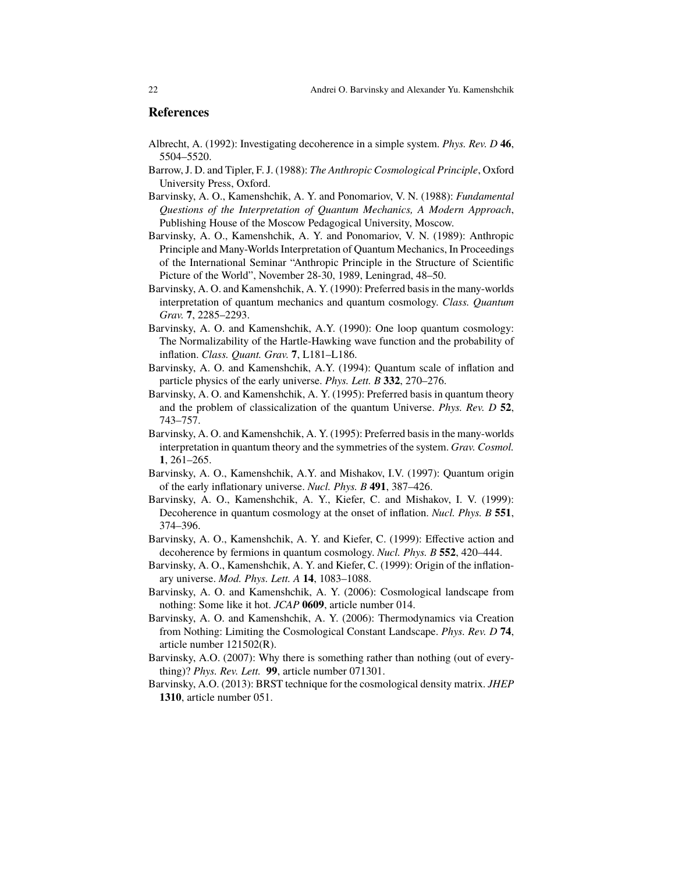#### **References**

- <span id="page-21-0"></span>Albrecht, A. (1992): Investigating decoherence in a simple system. *Phys. Rev. D* **46**, 5504–5520.
- <span id="page-21-11"></span>Barrow, J. D. and Tipler, F. J. (1988): *The Anthropic Cosmological Principle*, Oxford University Press, Oxford.
- <span id="page-21-1"></span>Barvinsky, A. O., Kamenshchik, A. Y. and Ponomariov, V. N. (1988): *Fundamental Questions of the Interpretation of Quantum Mechanics, A Modern Approach*, Publishing House of the Moscow Pedagogical University, Moscow.
- Barvinsky, A. O., Kamenshchik, A. Y. and Ponomariov, V. N. (1989): Anthropic Principle and Many-Worlds Interpretation of Quantum Mechanics, In Proceedings of the International Seminar "Anthropic Principle in the Structure of Scientific Picture of the World", November 28-30, 1989, Leningrad, 48–50.
- <span id="page-21-2"></span>Barvinsky, A. O. and Kamenshchik, A. Y. (1990): Preferred basis in the many-worlds interpretation of quantum mechanics and quantum cosmology. *Class. Quantum Grav.* **7**, 2285–2293.
- <span id="page-21-8"></span>Barvinsky, A. O. and Kamenshchik, A.Y. (1990): One loop quantum cosmology: The Normalizability of the Hartle-Hawking wave function and the probability of inflation. *Class. Quant. Grav.* **7**, L181–L186.
- <span id="page-21-9"></span>Barvinsky, A. O. and Kamenshchik, A.Y. (1994): Quantum scale of inflation and particle physics of the early universe. *Phys. Lett. B* **332**, 270–276.
- <span id="page-21-3"></span>Barvinsky, A. O. and Kamenshchik, A. Y. (1995): Preferred basis in quantum theory and the problem of classicalization of the quantum Universe. *Phys. Rev. D* **52**, 743–757.
- <span id="page-21-4"></span>Barvinsky, A. O. and Kamenshchik, A. Y. (1995): Preferred basis in the many-worlds interpretation in quantum theory and the symmetries of the system. *Grav. Cosmol.* **1**, 261–265.
- <span id="page-21-10"></span>Barvinsky, A. O., Kamenshchik, A.Y. and Mishakov, I.V. (1997): Quantum origin of the early inflationary universe. *Nucl. Phys. B* **491**, 387–426.
- <span id="page-21-5"></span>Barvinsky, A. O., Kamenshchik, A. Y., Kiefer, C. and Mishakov, I. V. (1999): Decoherence in quantum cosmology at the onset of inflation. *Nucl. Phys. B* **551**, 374–396.
- <span id="page-21-6"></span>Barvinsky, A. O., Kamenshchik, A. Y. and Kiefer, C. (1999): Effective action and decoherence by fermions in quantum cosmology. *Nucl. Phys. B* **552**, 420–444.
- <span id="page-21-7"></span>Barvinsky, A. O., Kamenshchik, A. Y. and Kiefer, C. (1999): Origin of the inflationary universe. *Mod. Phys. Lett. A* **14**, 1083–1088.
- <span id="page-21-12"></span>Barvinsky, A. O. and Kamenshchik, A. Y. (2006): Cosmological landscape from nothing: Some like it hot. *JCAP* **0609**, article number 014.
- <span id="page-21-13"></span>Barvinsky, A. O. and Kamenshchik, A. Y. (2006): Thermodynamics via Creation from Nothing: Limiting the Cosmological Constant Landscape. *Phys. Rev. D* **74**, article number 121502(R).
- <span id="page-21-14"></span>Barvinsky, A.O. (2007): Why there is something rather than nothing (out of everything)? *Phys. Rev. Lett.* **99**, article number 071301.
- <span id="page-21-15"></span>Barvinsky, A.O. (2013): BRST technique for the cosmological density matrix. *JHEP* **1310**, article number 051.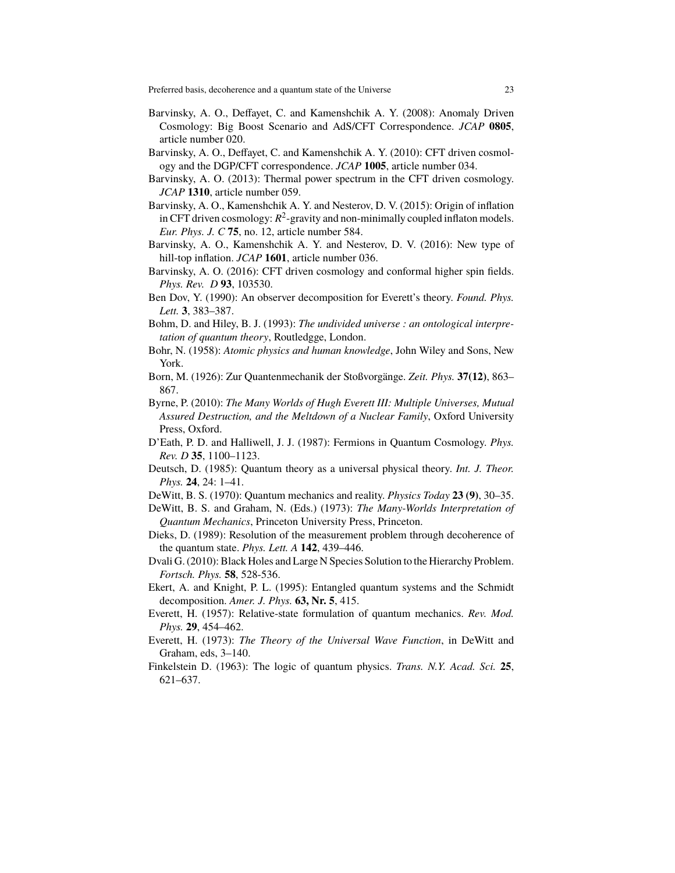- <span id="page-22-14"></span>Barvinsky, A. O., Deffayet, C. and Kamenshchik A. Y. (2008): Anomaly Driven Cosmology: Big Boost Scenario and AdS/CFT Correspondence. *JCAP* **0805**, article number 020.
- <span id="page-22-15"></span>Barvinsky, A. O., Deffayet, C. and Kamenshchik A. Y. (2010): CFT driven cosmology and the DGP/CFT correspondence. *JCAP* **1005**, article number 034.
- <span id="page-22-18"></span>Barvinsky, A. O. (2013): Thermal power spectrum in the CFT driven cosmology. *JCAP* **1310**, article number 059.
- <span id="page-22-16"></span>Barvinsky, A. O., Kamenshchik A. Y. and Nesterov, D. V. (2015): Origin of inflation in CFT driven cosmology:  $R^2$ -gravity and non-minimally coupled inflaton models. *Eur. Phys. J. C* **75**, no. 12, article number 584.
- <span id="page-22-17"></span>Barvinsky, A. O., Kamenshchik A. Y. and Nesterov, D. V. (2016): New type of hill-top inflation. *JCAP* **1601**, article number 036.
- <span id="page-22-19"></span>Barvinsky, A. O. (2016): CFT driven cosmology and conformal higher spin fields. *Phys. Rev. D* **93**, 103530.
- <span id="page-22-9"></span>Ben Dov, Y. (1990): An observer decomposition for Everett's theory. *Found. Phys. Lett.* **3**, 383–387.
- <span id="page-22-2"></span>Bohm, D. and Hiley, B. J. (1993): *The undivided universe : an ontological interpretation of quantum theory*, Routledgge, London.
- <span id="page-22-1"></span>Bohr, N. (1958): *Atomic physics and human knowledge*, John Wiley and Sons, New York.
- <span id="page-22-0"></span>Born, M. (1926): Zur Quantenmechanik der Stoßvorgänge. *Zeit. Phys.* **37(12)**, 863– 867.
- <span id="page-22-4"></span>Byrne, P. (2010): *The Many Worlds of Hugh Everett III: Multiple Universes, Mutual Assured Destruction, and the Meltdown of a Nuclear Family*, Oxford University Press, Oxford.
- <span id="page-22-11"></span>D'Eath, P. D. and Halliwell, J. J. (1987): Fermions in Quantum Cosmology. *Phys. Rev. D* **35**, 1100–1123.
- <span id="page-22-7"></span>Deutsch, D. (1985): Quantum theory as a universal physical theory. *Int. J. Theor. Phys.* **24**, 24: 1–41.
- <span id="page-22-5"></span>DeWitt, B. S. (1970): Quantum mechanics and reality. *Physics Today* **23 (9)**, 30–35.
- <span id="page-22-6"></span>DeWitt, B. S. and Graham, N. (Eds.) (1973): *The Many-Worlds Interpretation of Quantum Mechanics*, Princeton University Press, Princeton.
- <span id="page-22-8"></span>Dieks, D. (1989): Resolution of the measurement problem through decoherence of the quantum state. *Phys. Lett. A* **142**, 439–446.
- <span id="page-22-20"></span>Dvali G. (2010): Black Holes and Large N Species Solution to the Hierarchy Problem. *Fortsch. Phys.* **58**, 528-536.
- <span id="page-22-10"></span>Ekert, A. and Knight, P. L. (1995): Entangled quantum systems and the Schmidt decomposition. *Amer. J. Phys.* **63, Nr. 5**, 415.
- <span id="page-22-3"></span>Everett, H. (1957): Relative-state formulation of quantum mechanics. *Rev. Mod. Phys.* **29**, 454–462.
- <span id="page-22-13"></span>Everett, H. (1973): *The Theory of the Universal Wave Function*, in DeWitt and Graham, eds, 3–140.
- <span id="page-22-12"></span>Finkelstein D. (1963): The logic of quantum physics. *Trans. N.Y. Acad. Sci.* **25**, 621–637.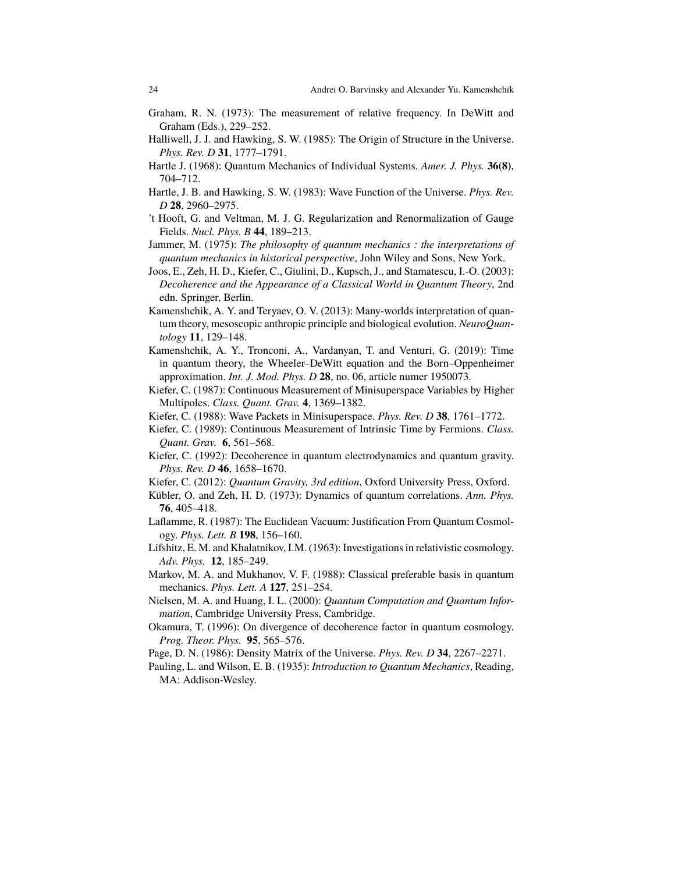- <span id="page-23-19"></span>Graham, R. N. (1973): The measurement of relative frequency. In DeWitt and Graham (Eds.), 229–252.
- <span id="page-23-10"></span>Halliwell, J. J. and Hawking, S. W. (1985): The Origin of Structure in the Universe. *Phys. Rev. D* **31**, 1777–1791.
- <span id="page-23-18"></span>Hartle J. (1968): Quantum Mechanics of Individual Systems. *Amer. J. Phys.* **36(8)**, 704–712.
- <span id="page-23-9"></span>Hartle, J. B. and Hawking, S. W. (1983): Wave Function of the Universe. *Phys. Rev. D* **28**, 2960–2975.
- <span id="page-23-14"></span>'t Hooft, G. and Veltman, M. J. G. Regularization and Renormalization of Gauge Fields. *Nucl. Phys. B* **44**, 189–213.
- <span id="page-23-0"></span>Jammer, M. (1975): *The philosophy of quantum mechanics : the interpretations of quantum mechanics in historical perspective*, John Wiley and Sons, New York.
- <span id="page-23-6"></span>Joos, E., Zeh, H. D., Kiefer, C., Giulini, D., Kupsch, J., and Stamatescu, I.-O. (2003): *Decoherence and the Appearance of a Classical World in Quantum Theory*, 2nd edn. Springer, Berlin.
- <span id="page-23-20"></span>Kamenshchik, A. Y. and Teryaev, O. V. (2013): Many-worlds interpretation of quantum theory, mesoscopic anthropic principle and biological evolution. *NeuroQuantology* **11**, 129–148.
- <span id="page-23-5"></span>Kamenshchik, A. Y., Tronconi, A., Vardanyan, T. and Venturi, G. (2019): Time in quantum theory, the Wheeler–DeWitt equation and the Born–Oppenheimer approximation. *Int. J. Mod. Phys. D* **28**, no. 06, article numer 1950073.
- <span id="page-23-7"></span>Kiefer, C. (1987): Continuous Measurement of Minisuperspace Variables by Higher Multipoles. *Class. Quant. Grav.* **4**, 1369–1382.
- <span id="page-23-8"></span>Kiefer, C. (1988): Wave Packets in Minisuperspace. *Phys. Rev. D* **38**, 1761–1772.
- <span id="page-23-16"></span>Kiefer, C. (1989): Continuous Measurement of Intrinsic Time by Fermions. *Class. Quant. Grav.* **6**, 561–568.
- <span id="page-23-12"></span>Kiefer, C. (1992): Decoherence in quantum electrodynamics and quantum gravity. *Phys. Rev. D* **46**, 1658–1670.
- <span id="page-23-1"></span>Kiefer, C. (2012): *Quantum Gravity, 3rd edition*, Oxford University Press, Oxford.
- <span id="page-23-4"></span>Kübler, O. and Zeh, H. D. (1973): Dynamics of quantum correlations. *Ann. Phys.* **76**, 405–418.
- <span id="page-23-11"></span>Laflamme, R. (1987): The Euclidean Vacuum: Justification From Quantum Cosmology. *Phys. Lett. B* **198**, 156–160.
- <span id="page-23-15"></span>Lifshitz, E. M. and Khalatnikov, I.M. (1963): Investigations in relativistic cosmology. *Adv. Phys.* **12**, 185–249.
- <span id="page-23-3"></span>Markov, M. A. and Mukhanov, V. F. (1988): Classical preferable basis in quantum mechanics. *Phys. Lett. A* **127**, 251–254.
- <span id="page-23-2"></span>Nielsen, M. A. and Huang, I. L. (2000): *Quantum Computation and Quantum Information*, Cambridge University Press, Cambridge.
- <span id="page-23-13"></span>Okamura, T. (1996): On divergence of decoherence factor in quantum cosmology. *Prog. Theor. Phys.* **95**, 565–576.
- <span id="page-23-21"></span>Page, D. N. (1986): Density Matrix of the Universe. *Phys. Rev. D* **34**, 2267–2271.
- <span id="page-23-17"></span>Pauling, L. and Wilson, E. B. (1935): *Introduction to Quantum Mechanics*, Reading, MA: Addison-Wesley.